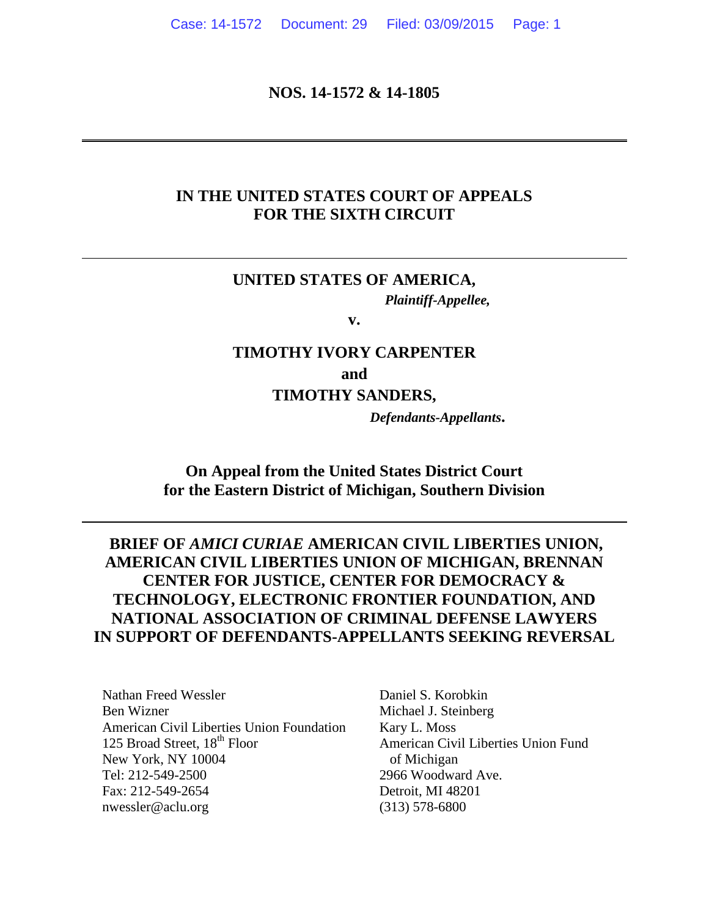#### **NOS. 14-1572 & 14-1805**

#### **IN THE UNITED STATES COURT OF APPEALS FOR THE SIXTH CIRCUIT**

### **UNITED STATES OF AMERICA,** *Plaintiff-Appellee,*

**v.**

# **TIMOTHY IVORY CARPENTER and TIMOTHY SANDERS,**

*Defendants-Appellants***.**

#### **On Appeal from the United States District Court for the Eastern District of Michigan, Southern Division**

## **BRIEF OF** *AMICI CURIAE* **AMERICAN CIVIL LIBERTIES UNION, AMERICAN CIVIL LIBERTIES UNION OF MICHIGAN, BRENNAN CENTER FOR JUSTICE, CENTER FOR DEMOCRACY & TECHNOLOGY, ELECTRONIC FRONTIER FOUNDATION, AND NATIONAL ASSOCIATION OF CRIMINAL DEFENSE LAWYERS IN SUPPORT OF DEFENDANTS-APPELLANTS SEEKING REVERSAL**

Nathan Freed Wessler Ben Wizner American Civil Liberties Union Foundation 125 Broad Street, 18<sup>th</sup> Floor New York, NY 10004 Tel: 212-549-2500 Fax: 212-549-2654 nwessler@aclu.org

Daniel S. Korobkin Michael J. Steinberg Kary L. Moss American Civil Liberties Union Fund of Michigan 2966 Woodward Ave. Detroit, MI 48201 (313) 578-6800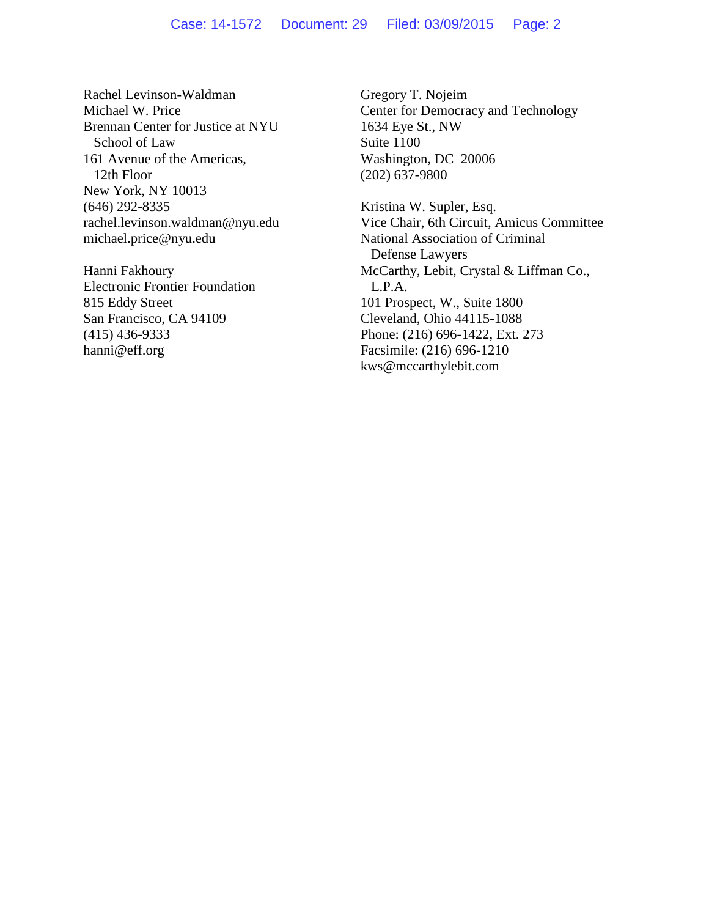#### Case: 14-1572 Document: 29 Filed: 03/09/2015 Page: 2

Rachel Levinson-Waldman Michael W. Price Brennan Center for Justice at NYU School of Law 161 Avenue of the Americas, 12th Floor New York, NY 10013 (646) 292-8335 rachel.levinson.waldman@nyu.edu michael.price@nyu.edu

Hanni Fakhoury Electronic Frontier Foundation 815 Eddy Street San Francisco, CA 94109 (415) 436-9333 hanni@eff.org

Gregory T. Nojeim Center for Democracy and Technology 1634 Eye St., NW Suite 1100 Washington, DC 20006 (202) 637-9800

Kristina W. Supler, Esq. Vice Chair, 6th Circuit, Amicus Committee National Association of Criminal Defense Lawyers McCarthy, Lebit, Crystal & Liffman Co., L.P.A. 101 Prospect, W., Suite 1800 Cleveland, Ohio 44115-1088 Phone: (216) 696-1422, Ext. 273 Facsimile: (216) 696-1210 kws@mccarthylebit.com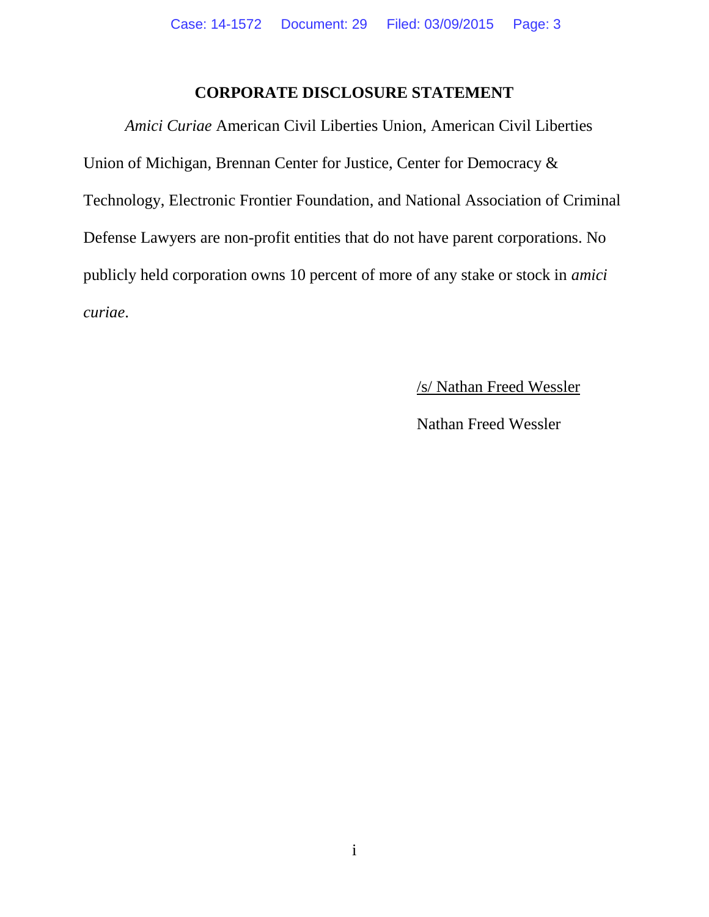#### **CORPORATE DISCLOSURE STATEMENT**

<span id="page-2-0"></span>*Amici Curiae* American Civil Liberties Union, American Civil Liberties Union of Michigan, Brennan Center for Justice, Center for Democracy & Technology, Electronic Frontier Foundation, and National Association of Criminal Defense Lawyers are non-profit entities that do not have parent corporations. No publicly held corporation owns 10 percent of more of any stake or stock in *amici curiae*.

/s/ Nathan Freed Wessler

Nathan Freed Wessler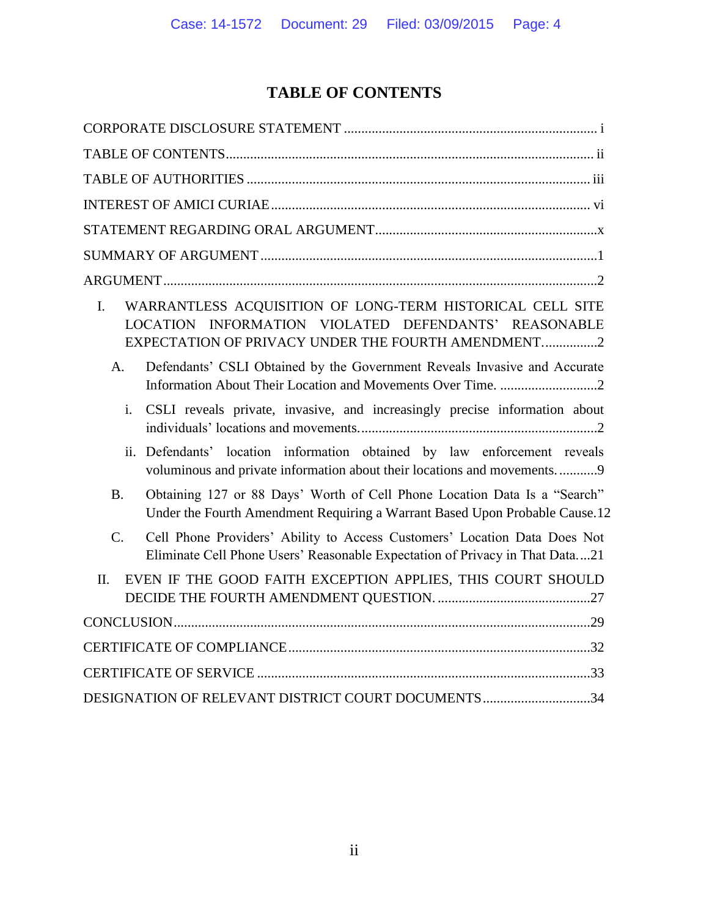# **TABLE OF CONTENTS**

<span id="page-3-0"></span>

| WARRANTLESS ACQUISITION OF LONG-TERM HISTORICAL CELL SITE<br>$\mathbf{I}$ .<br>LOCATION INFORMATION VIOLATED DEFENDANTS' REASONABLE<br>EXPECTATION OF PRIVACY UNDER THE FOURTH AMENDMENT2 |
|-------------------------------------------------------------------------------------------------------------------------------------------------------------------------------------------|
| Defendants' CSLI Obtained by the Government Reveals Invasive and Accurate<br>A <sub>1</sub>                                                                                               |
| CSLI reveals private, invasive, and increasingly precise information about<br>i.                                                                                                          |
| ii. Defendants' location information obtained by law enforcement reveals<br>voluminous and private information about their locations and movements9                                       |
| Obtaining 127 or 88 Days' Worth of Cell Phone Location Data Is a "Search"<br><b>B.</b><br>Under the Fourth Amendment Requiring a Warrant Based Upon Probable Cause.12                     |
| $C_{\cdot}$<br>Cell Phone Providers' Ability to Access Customers' Location Data Does Not<br>Eliminate Cell Phone Users' Reasonable Expectation of Privacy in That Data21                  |
| EVEN IF THE GOOD FAITH EXCEPTION APPLIES, THIS COURT SHOULD<br>II.                                                                                                                        |
|                                                                                                                                                                                           |
|                                                                                                                                                                                           |
|                                                                                                                                                                                           |
| DESIGNATION OF RELEVANT DISTRICT COURT DOCUMENTS34                                                                                                                                        |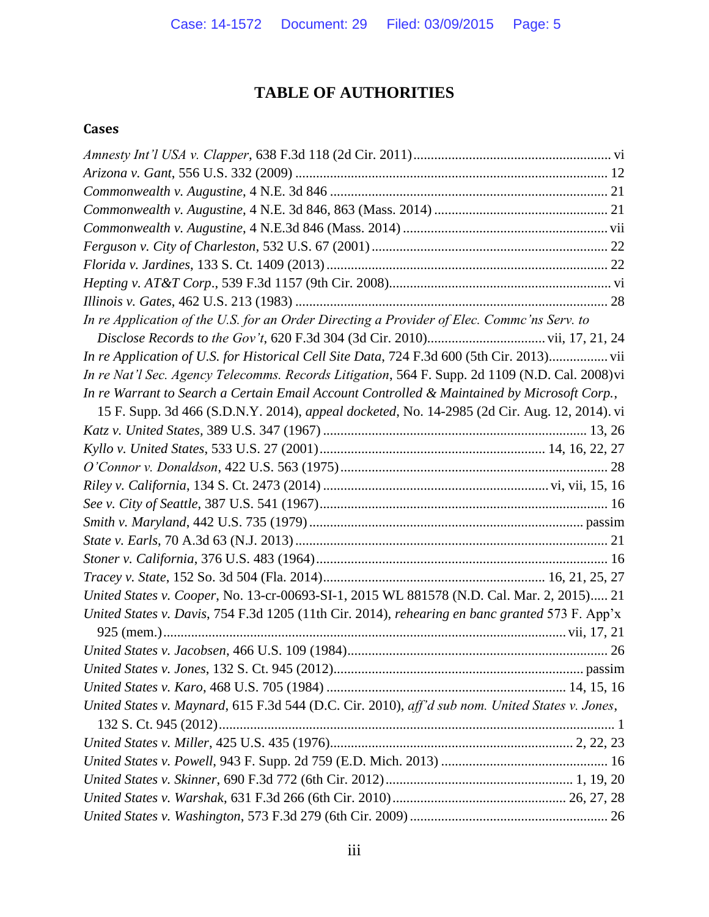# **TABLE OF AUTHORITIES**

#### <span id="page-4-0"></span>**Cases**

| In re Application of the U.S. for an Order Directing a Provider of Elec. Commc'ns Serv. to      |
|-------------------------------------------------------------------------------------------------|
|                                                                                                 |
| In re Application of U.S. for Historical Cell Site Data, 724 F.3d 600 (5th Cir. 2013) vii       |
| In re Nat'l Sec. Agency Telecomms. Records Litigation, 564 F. Supp. 2d 1109 (N.D. Cal. 2008) vi |
| In re Warrant to Search a Certain Email Account Controlled & Maintained by Microsoft Corp.,     |
| 15 F. Supp. 3d 466 (S.D.N.Y. 2014), appeal docketed, No. 14-2985 (2d Cir. Aug. 12, 2014). vi    |
|                                                                                                 |
|                                                                                                 |
|                                                                                                 |
|                                                                                                 |
|                                                                                                 |
|                                                                                                 |
|                                                                                                 |
|                                                                                                 |
|                                                                                                 |
| United States v. Cooper, No. 13-cr-00693-SI-1, 2015 WL 881578 (N.D. Cal. Mar. 2, 2015) 21       |
| United States v. Davis, 754 F.3d 1205 (11th Cir. 2014), rehearing en banc granted 573 F. App'x  |
|                                                                                                 |
|                                                                                                 |
|                                                                                                 |
|                                                                                                 |
| United States v. Maynard, 615 F.3d 544 (D.C. Cir. 2010), aff'd sub nom. United States v. Jones, |
|                                                                                                 |
|                                                                                                 |
|                                                                                                 |
|                                                                                                 |
|                                                                                                 |
|                                                                                                 |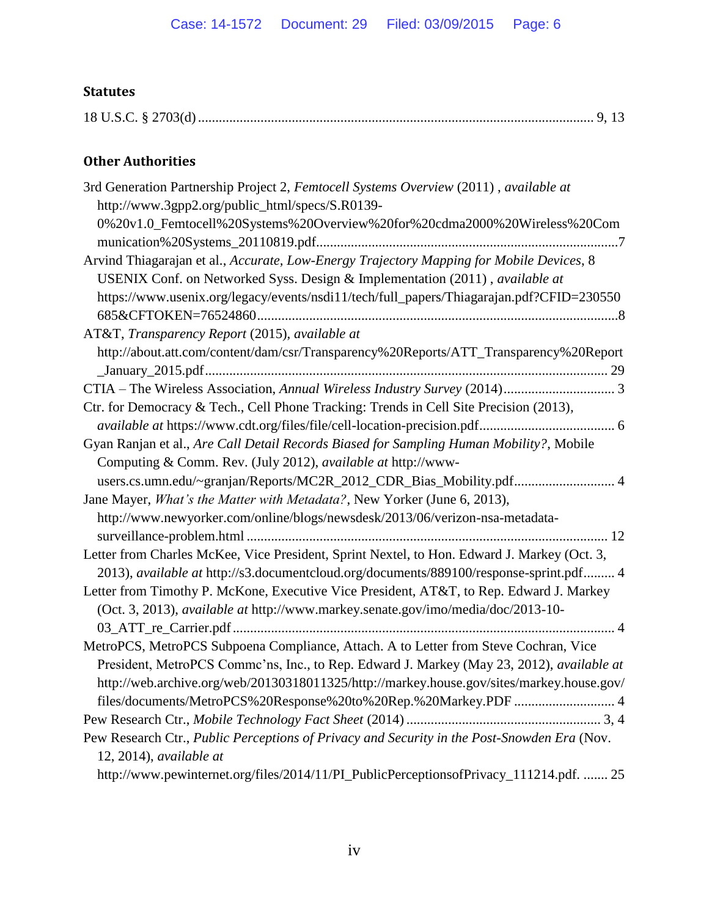#### **Statutes**

|--|--|--|

### **Other Authorities**

| 3rd Generation Partnership Project 2, Femtocell Systems Overview (2011), available at       |
|---------------------------------------------------------------------------------------------|
| http://www.3gpp2.org/public_html/specs/S.R0139-                                             |
| 0%20v1.0_Femtocell%20Systems%20Overview%20for%20cdma2000%20Wireless%20Com                   |
|                                                                                             |
| Arvind Thiagarajan et al., Accurate, Low-Energy Trajectory Mapping for Mobile Devices, 8    |
| USENIX Conf. on Networked Syss. Design & Implementation (2011), available at                |
| https://www.usenix.org/legacy/events/nsdi11/tech/full_papers/Thiagarajan.pdf?CFID=230550    |
|                                                                                             |
| AT&T, Transparency Report (2015), available at                                              |
| http://about.att.com/content/dam/csr/Transparency%20Reports/ATT_Transparency%20Report       |
|                                                                                             |
|                                                                                             |
| Ctr. for Democracy & Tech., Cell Phone Tracking: Trends in Cell Site Precision (2013),      |
|                                                                                             |
| Gyan Ranjan et al., Are Call Detail Records Biased for Sampling Human Mobility?, Mobile     |
| Computing & Comm. Rev. (July 2012), available at http://www-                                |
| users.cs.umn.edu/~granjan/Reports/MC2R_2012_CDR_Bias_Mobility.pdf 4                         |
| Jane Mayer, What's the Matter with Metadata?, New Yorker (June 6, 2013),                    |
| http://www.newyorker.com/online/blogs/newsdesk/2013/06/verizon-nsa-metadata-                |
|                                                                                             |
| Letter from Charles McKee, Vice President, Sprint Nextel, to Hon. Edward J. Markey (Oct. 3, |
| 2013), available at http://s3.documentcloud.org/documents/889100/response-sprint.pdf 4      |
| Letter from Timothy P. McKone, Executive Vice President, AT&T, to Rep. Edward J. Markey     |
| (Oct. 3, 2013), available at http://www.markey.senate.gov/imo/media/doc/2013-10-            |
|                                                                                             |
| MetroPCS, MetroPCS Subpoena Compliance, Attach. A to Letter from Steve Cochran, Vice        |
| President, MetroPCS Commc'ns, Inc., to Rep. Edward J. Markey (May 23, 2012), available at   |
| http://web.archive.org/web/20130318011325/http://markey.house.gov/sites/markey.house.gov/   |
| files/documents/MetroPCS%20Response%20to%20Rep.%20Markey.PDF  4                             |
|                                                                                             |
| Pew Research Ctr., Public Perceptions of Privacy and Security in the Post-Snowden Era (Nov. |
| $12, 2014$ , available at                                                                   |
| http://www.pewinternet.org/files/2014/11/PI_PublicPerceptionsofPrivacy_111214.pdf.  25      |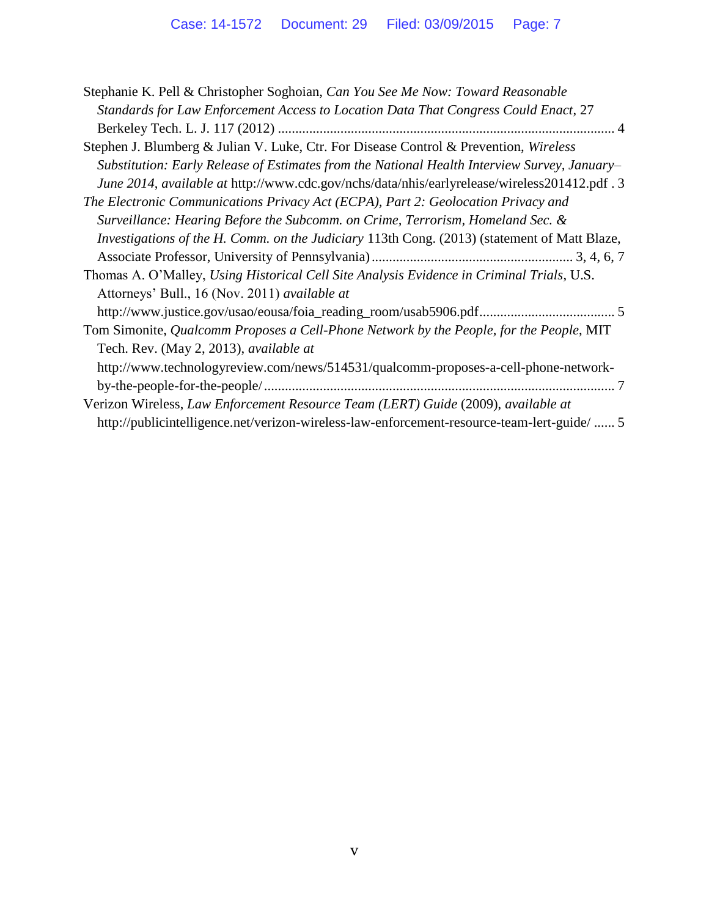| Stephanie K. Pell & Christopher Soghoian, Can You See Me Now: Toward Reasonable              |
|----------------------------------------------------------------------------------------------|
| Standards for Law Enforcement Access to Location Data That Congress Could Enact, 27          |
|                                                                                              |
| Stephen J. Blumberg & Julian V. Luke, Ctr. For Disease Control & Prevention, Wireless        |
| Substitution: Early Release of Estimates from the National Health Interview Survey, January- |
| June 2014, available at http://www.cdc.gov/nchs/data/nhis/earlyrelease/wireless201412.pdf. 3 |
| The Electronic Communications Privacy Act (ECPA), Part 2: Geolocation Privacy and            |
| Surveillance: Hearing Before the Subcomm. on Crime, Terrorism, Homeland Sec. &               |
| Investigations of the H. Comm. on the Judiciary 113th Cong. (2013) (statement of Matt Blaze, |
|                                                                                              |
| Thomas A. O'Malley, Using Historical Cell Site Analysis Evidence in Criminal Trials, U.S.    |
| Attorneys' Bull., 16 (Nov. 2011) available at                                                |
|                                                                                              |
| Tom Simonite, Qualcomm Proposes a Cell-Phone Network by the People, for the People, MIT      |
| Tech. Rev. (May 2, 2013), available at                                                       |
| http://www.technologyreview.com/news/514531/qualcomm-proposes-a-cell-phone-network-          |
|                                                                                              |
| Verizon Wireless, Law Enforcement Resource Team (LERT) Guide (2009), available at            |
| http://publicintelligence.net/verizon-wireless-law-enforcement-resource-team-lert-guide/  5  |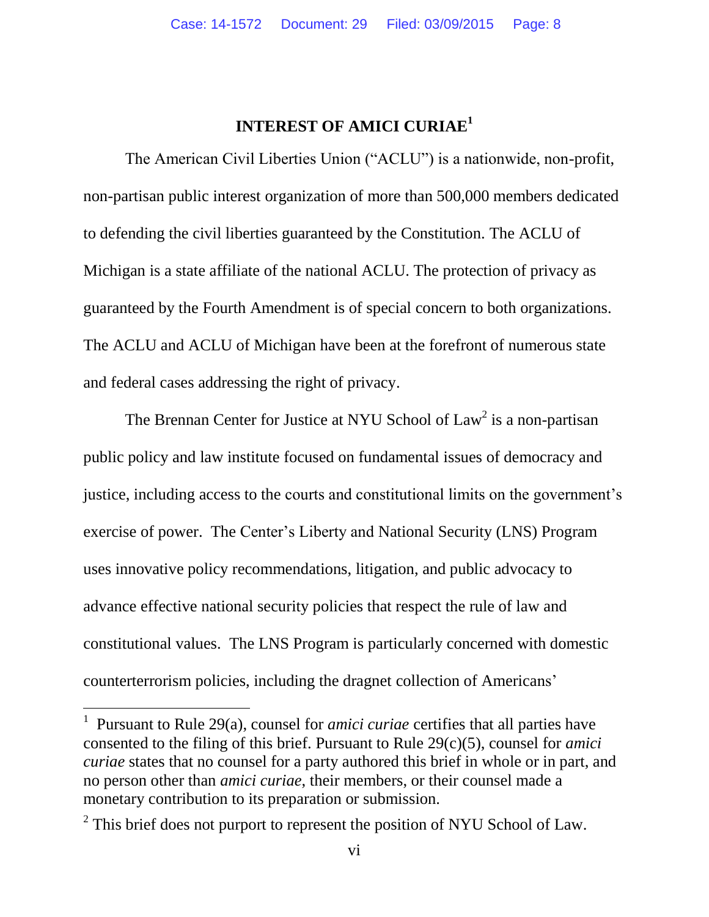## **INTEREST OF AMICI CURIAE<sup>1</sup>**

<span id="page-7-0"></span>The American Civil Liberties Union ("ACLU") is a nationwide, non-profit, non-partisan public interest organization of more than 500,000 members dedicated to defending the civil liberties guaranteed by the Constitution. The ACLU of Michigan is a state affiliate of the national ACLU. The protection of privacy as guaranteed by the Fourth Amendment is of special concern to both organizations. The ACLU and ACLU of Michigan have been at the forefront of numerous state and federal cases addressing the right of privacy.

The Brennan Center for Justice at NYU School of  $Law<sup>2</sup>$  is a non-partisan public policy and law institute focused on fundamental issues of democracy and justice, including access to the courts and constitutional limits on the government's exercise of power. The Center's Liberty and National Security (LNS) Program uses innovative policy recommendations, litigation, and public advocacy to advance effective national security policies that respect the rule of law and constitutional values. The LNS Program is particularly concerned with domestic counterterrorism policies, including the dragnet collection of Americans'

<sup>&</sup>lt;sup>1</sup> Pursuant to Rule 29(a), counsel for *amici curiae* certifies that all parties have consented to the filing of this brief. Pursuant to Rule 29(c)(5), counsel for *amici curiae* states that no counsel for a party authored this brief in whole or in part, and no person other than *amici curiae*, their members, or their counsel made a monetary contribution to its preparation or submission.

 $2^2$  This brief does not purport to represent the position of NYU School of Law.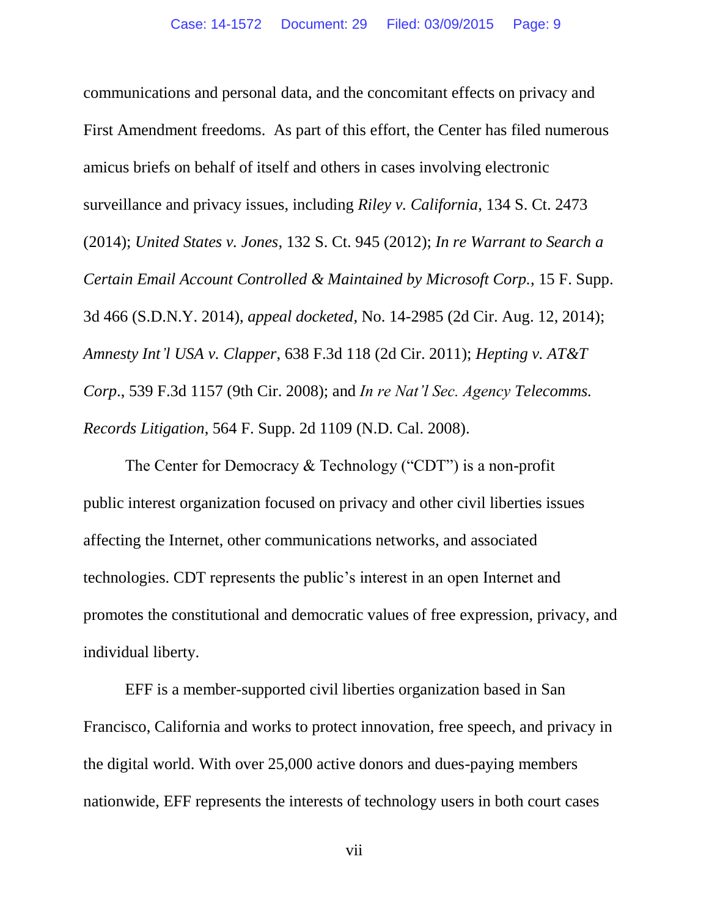communications and personal data, and the concomitant effects on privacy and First Amendment freedoms. As part of this effort, the Center has filed numerous amicus briefs on behalf of itself and others in cases involving electronic surveillance and privacy issues, including *Riley v. California*, 134 S. Ct. 2473 (2014); *United States v. Jones*, 132 S. Ct. 945 (2012); *In re Warrant to Search a Certain Email Account Controlled & Maintained by Microsoft Corp.*, 15 F. Supp. 3d 466 (S.D.N.Y. 2014), *appeal docketed*, No. 14-2985 (2d Cir. Aug. 12, 2014); *Amnesty Int'l USA v. Clapper*, 638 F.3d 118 (2d Cir. 2011); *Hepting v. AT&T Corp*., 539 F.3d 1157 (9th Cir. 2008); and *In re Nat'l Sec. Agency Telecomms. Records Litigation*, 564 F. Supp. 2d 1109 (N.D. Cal. 2008).

The Center for Democracy & Technology ("CDT") is a non-profit public interest organization focused on privacy and other civil liberties issues affecting the Internet, other communications networks, and associated technologies. CDT represents the public's interest in an open Internet and promotes the constitutional and democratic values of free expression, privacy, and individual liberty.

EFF is a member-supported civil liberties organization based in San Francisco, California and works to protect innovation, free speech, and privacy in the digital world. With over 25,000 active donors and dues-paying members nationwide, EFF represents the interests of technology users in both court cases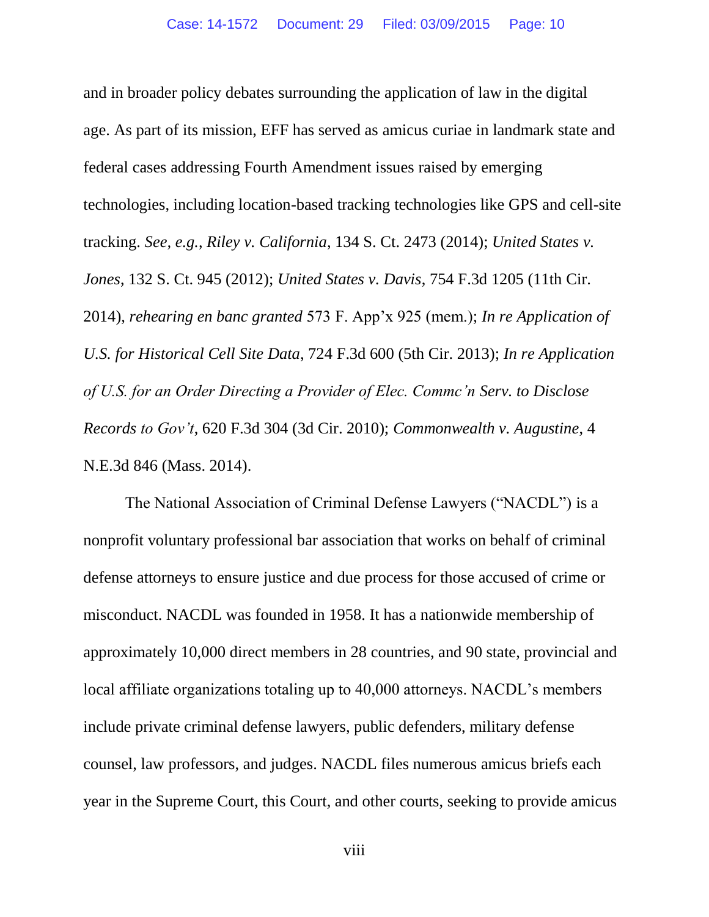and in broader policy debates surrounding the application of law in the digital age. As part of its mission, EFF has served as amicus curiae in landmark state and federal cases addressing Fourth Amendment issues raised by emerging technologies, including location-based tracking technologies like GPS and cell-site tracking. *See, e.g.*, *Riley v. California*, 134 S. Ct. 2473 (2014); *United States v. Jones*, 132 S. Ct. 945 (2012); *United States v. Davis*, 754 F.3d 1205 (11th Cir. 2014), *rehearing en banc granted* 573 F. App'x 925 (mem.); *In re Application of U.S. for Historical Cell Site Data*, 724 F.3d 600 (5th Cir. 2013); *In re Application of U.S. for an Order Directing a Provider of Elec. Commc'n Serv. to Disclose Records to Gov't*, 620 F.3d 304 (3d Cir. 2010); *Commonwealth v. Augustine*, 4 N.E.3d 846 (Mass. 2014).

The National Association of Criminal Defense Lawyers ("NACDL") is a nonprofit voluntary professional bar association that works on behalf of criminal defense attorneys to ensure justice and due process for those accused of crime or misconduct. NACDL was founded in 1958. It has a nationwide membership of approximately 10,000 direct members in 28 countries, and 90 state, provincial and local affiliate organizations totaling up to 40,000 attorneys. NACDL's members include private criminal defense lawyers, public defenders, military defense counsel, law professors, and judges. NACDL files numerous amicus briefs each year in the Supreme Court, this Court, and other courts, seeking to provide amicus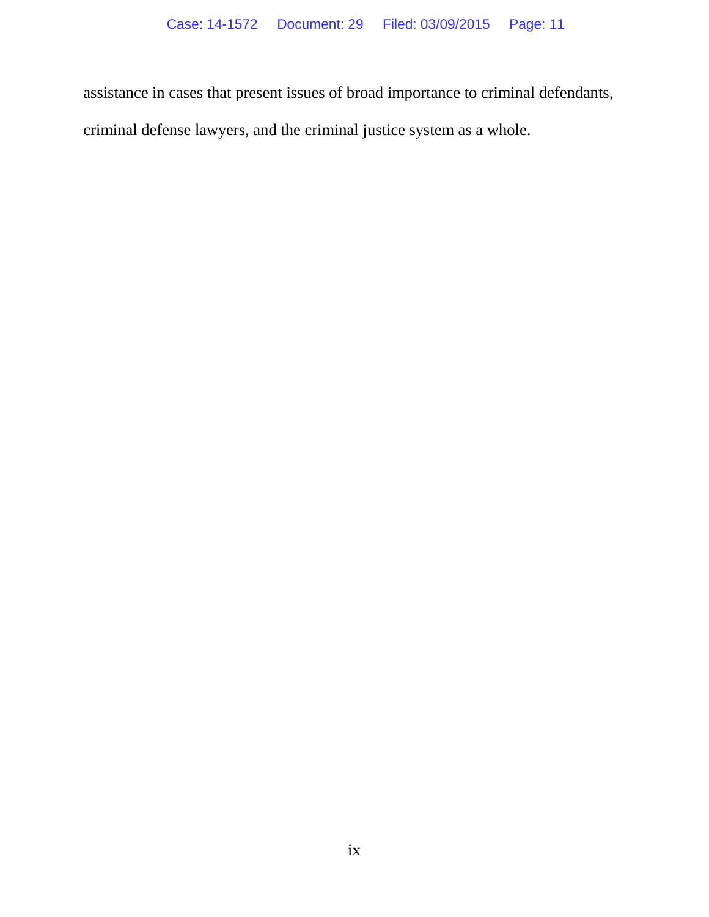assistance in cases that present issues of broad importance to criminal defendants,

criminal defense lawyers, and the criminal justice system as a whole.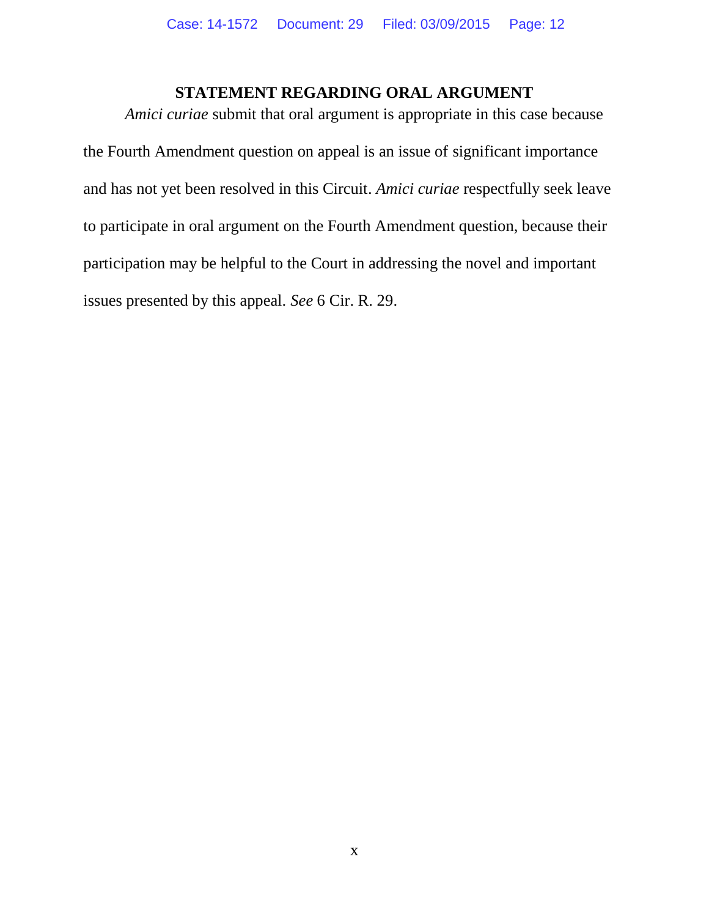### **STATEMENT REGARDING ORAL ARGUMENT**

<span id="page-11-0"></span>*Amici curiae* submit that oral argument is appropriate in this case because the Fourth Amendment question on appeal is an issue of significant importance and has not yet been resolved in this Circuit. *Amici curiae* respectfully seek leave to participate in oral argument on the Fourth Amendment question, because their participation may be helpful to the Court in addressing the novel and important issues presented by this appeal. *See* 6 Cir. R. 29.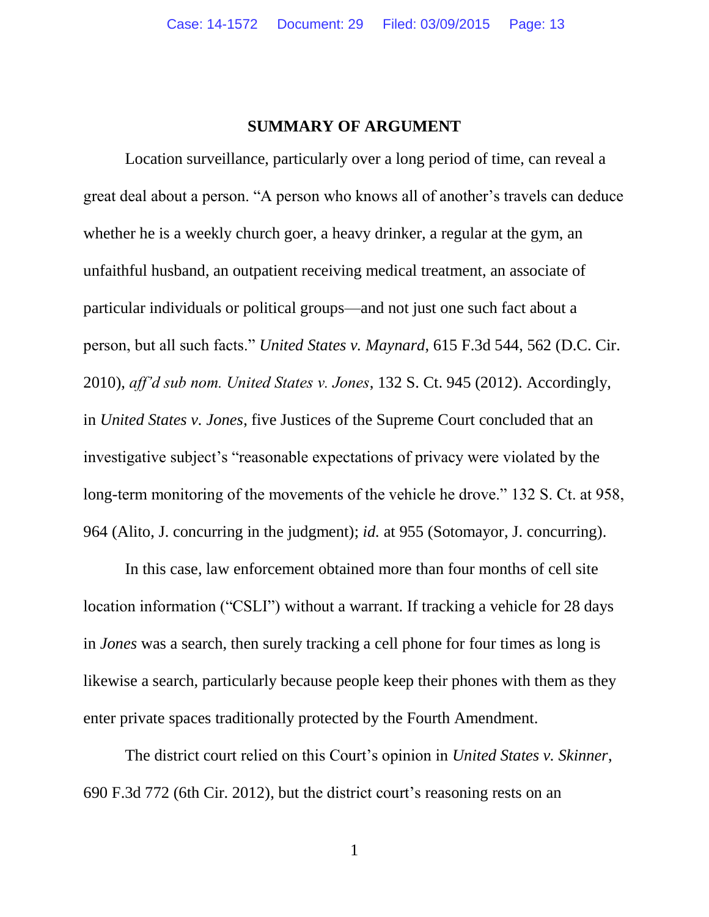#### **SUMMARY OF ARGUMENT**

<span id="page-12-0"></span>Location surveillance, particularly over a long period of time, can reveal a great deal about a person. "A person who knows all of another's travels can deduce whether he is a weekly church goer, a heavy drinker, a regular at the gym, an unfaithful husband, an outpatient receiving medical treatment, an associate of particular individuals or political groups—and not just one such fact about a person, but all such facts." *United States v. Maynard*, 615 F.3d 544, 562 (D.C. Cir. 2010), *aff'd sub nom. United States v. Jones*, 132 S. Ct. 945 (2012). Accordingly, in *United States v. Jones*, five Justices of the Supreme Court concluded that an investigative subject's "reasonable expectations of privacy were violated by the long-term monitoring of the movements of the vehicle he drove." 132 S. Ct. at 958, 964 (Alito, J. concurring in the judgment); *id.* at 955 (Sotomayor, J. concurring).

In this case, law enforcement obtained more than four months of cell site location information ("CSLI") without a warrant. If tracking a vehicle for 28 days in *Jones* was a search, then surely tracking a cell phone for four times as long is likewise a search, particularly because people keep their phones with them as they enter private spaces traditionally protected by the Fourth Amendment.

The district court relied on this Court's opinion in *United States v. Skinner*, 690 F.3d 772 (6th Cir. 2012), but the district court's reasoning rests on an

1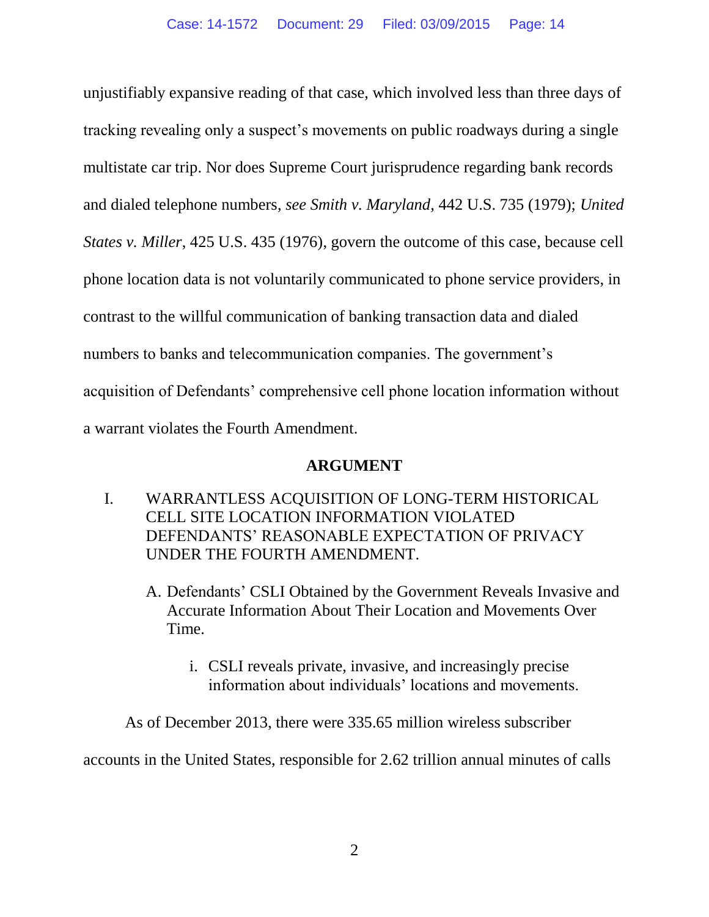unjustifiably expansive reading of that case, which involved less than three days of tracking revealing only a suspect's movements on public roadways during a single multistate car trip. Nor does Supreme Court jurisprudence regarding bank records and dialed telephone numbers, *see Smith v. Maryland*, 442 U.S. 735 (1979); *United States v. Miller*, 425 U.S. 435 (1976), govern the outcome of this case, because cell phone location data is not voluntarily communicated to phone service providers, in contrast to the willful communication of banking transaction data and dialed numbers to banks and telecommunication companies. The government's acquisition of Defendants' comprehensive cell phone location information without a warrant violates the Fourth Amendment.

### **ARGUMENT**

- <span id="page-13-2"></span><span id="page-13-1"></span><span id="page-13-0"></span>I. WARRANTLESS ACQUISITION OF LONG-TERM HISTORICAL CELL SITE LOCATION INFORMATION VIOLATED DEFENDANTS' REASONABLE EXPECTATION OF PRIVACY UNDER THE FOURTH AMENDMENT.
	- A. Defendants' CSLI Obtained by the Government Reveals Invasive and Accurate Information About Their Location and Movements Over Time.
		- i. CSLI reveals private, invasive, and increasingly precise information about individuals' locations and movements.

<span id="page-13-3"></span>As of December 2013, there were 335.65 million wireless subscriber

accounts in the United States, responsible for 2.62 trillion annual minutes of calls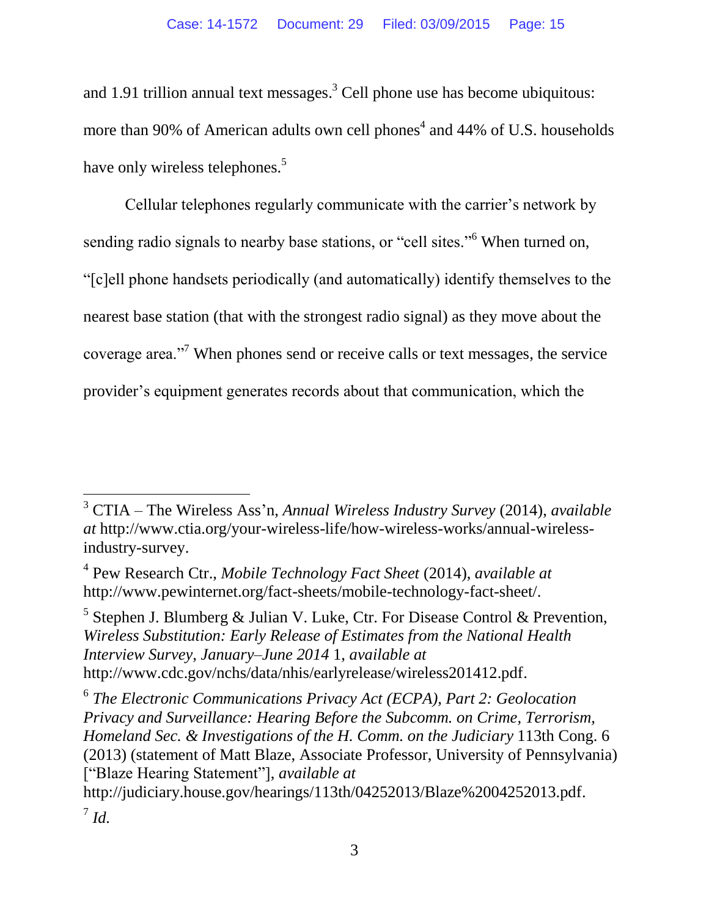and 1.91 trillion annual text messages. <sup>3</sup> Cell phone use has become ubiquitous: more than 90% of American adults own cell phones<sup>4</sup> and 44% of U.S. households have only wireless telephones.<sup>5</sup>

Cellular telephones regularly communicate with the carrier's network by sending radio signals to nearby base stations, or "cell sites."<sup>6</sup> When turned on, "[c]ell phone handsets periodically (and automatically) identify themselves to the nearest base station (that with the strongest radio signal) as they move about the coverage area."<sup>7</sup> When phones send or receive calls or text messages, the service provider's equipment generates records about that communication, which the

 $\overline{a}$ 

<sup>5</sup> Stephen J. Blumberg & Julian V. Luke, Ctr. For Disease Control & Prevention, *Wireless Substitution: Early Release of Estimates from the National Health Interview Survey, January–June 2014* 1, *available at* http://www.cdc.gov/nchs/data/nhis/earlyrelease/wireless201412.pdf.

<sup>6</sup> The Electronic Communications Privacy Act (ECPA), Part 2: Geolocation *Privacy and Surveillance: Hearing Before the Subcomm. on Crime, Terrorism, Homeland Sec. & Investigations of the H. Comm. on the Judiciary* 113th Cong. 6 (2013) (statement of Matt Blaze, Associate Professor, University of Pennsylvania) ["Blaze Hearing Statement"], *available at* 

http://judiciary.house.gov/hearings/113th/04252013/Blaze%2004252013.pdf. 7 *Id.*

<sup>3</sup> CTIA – The Wireless Ass'n, *Annual Wireless Industry Survey* (2014), *available at* http://www.ctia.org/your-wireless-life/how-wireless-works/annual-wirelessindustry-survey.

<sup>4</sup> Pew Research Ctr., *Mobile Technology Fact Sheet* (2014), *available at*  http://www.pewinternet.org/fact-sheets/mobile-technology-fact-sheet/.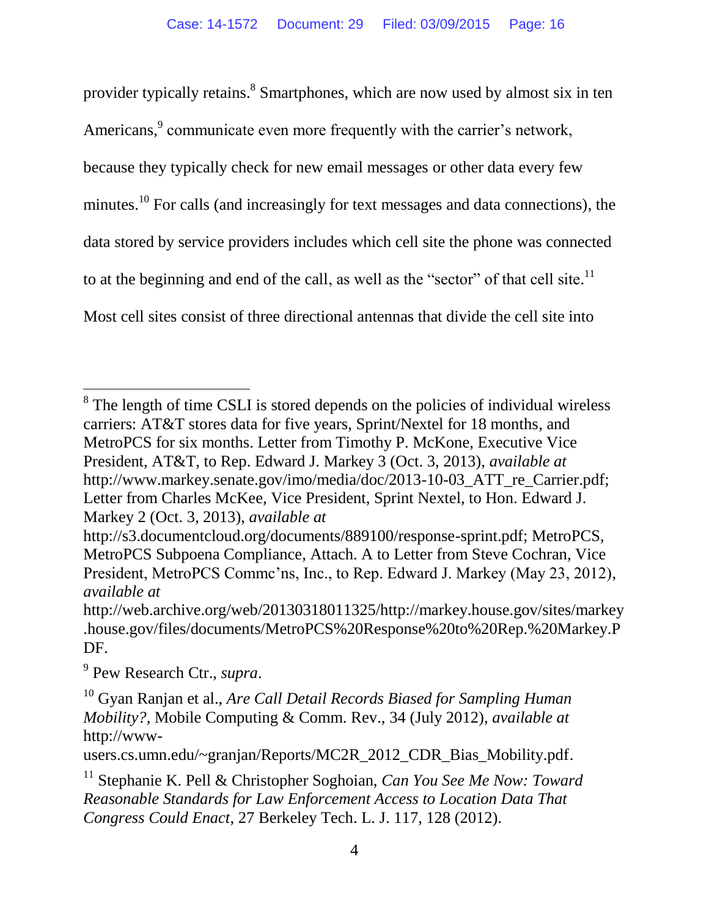provider typically retains.<sup>8</sup> Smartphones, which are now used by almost six in ten Americans,<sup>9</sup> communicate even more frequently with the carrier's network, because they typically check for new email messages or other data every few minutes.<sup>10</sup> For calls (and increasingly for text messages and data connections), the data stored by service providers includes which cell site the phone was connected to at the beginning and end of the call, as well as the "sector" of that cell site. $11$ Most cell sites consist of three directional antennas that divide the cell site into

9 Pew Research Ctr., *supra*.

 $8$  The length of time CSLI is stored depends on the policies of individual wireless carriers: AT&T stores data for five years, Sprint/Nextel for 18 months, and MetroPCS for six months. Letter from Timothy P. McKone, Executive Vice President, AT&T, to Rep. Edward J. Markey 3 (Oct. 3, 2013), *available at*  http://www.markey.senate.gov/imo/media/doc/2013-10-03\_ATT\_re\_Carrier.pdf; Letter from Charles McKee, Vice President, Sprint Nextel, to Hon. Edward J. Markey 2 (Oct. 3, 2013), *available at* 

http://s3.documentcloud.org/documents/889100/response-sprint.pdf; MetroPCS, MetroPCS Subpoena Compliance, Attach. A to Letter from Steve Cochran, Vice President, MetroPCS Commc'ns, Inc., to Rep. Edward J. Markey (May 23, 2012), *available at* 

http://web.archive.org/web/20130318011325/http://markey.house.gov/sites/markey .house.gov/files/documents/MetroPCS%20Response%20to%20Rep.%20Markey.P DF.

<sup>10</sup> Gyan Ranjan et al., *Are Call Detail Records Biased for Sampling Human Mobility?*, Mobile Computing & Comm. Rev., 34 (July 2012), *available at*  http://www-

users.cs.umn.edu/~granjan/Reports/MC2R\_2012\_CDR\_Bias\_Mobility.pdf.

<sup>11</sup> Stephanie K. Pell & Christopher Soghoian, *Can You See Me Now: Toward Reasonable Standards for Law Enforcement Access to Location Data That Congress Could Enact*, 27 Berkeley Tech. L. J. 117, 128 (2012).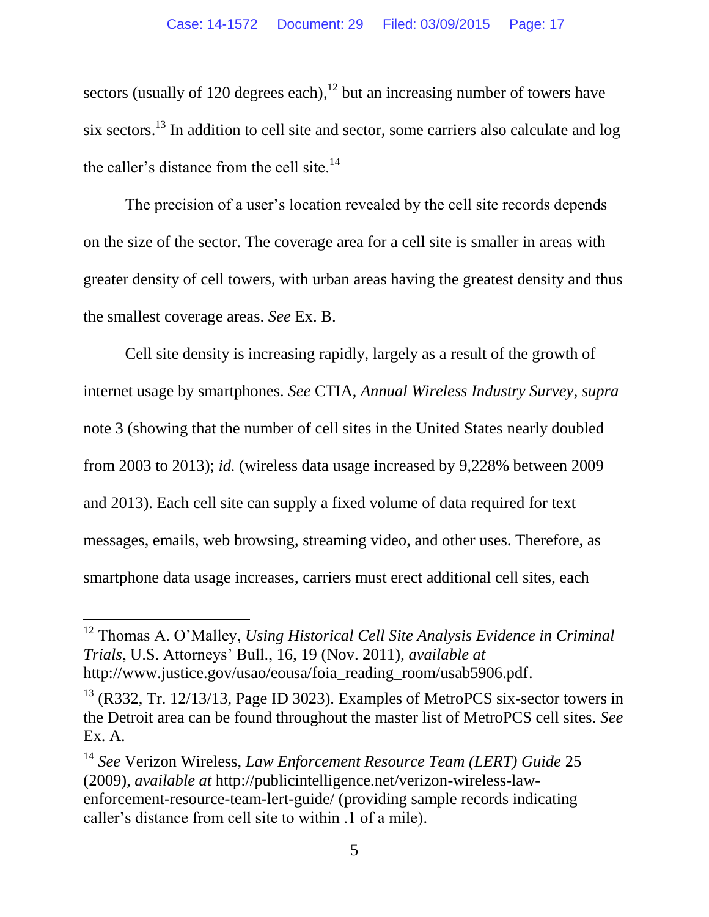sectors (usually of 120 degrees each), $^{12}$  but an increasing number of towers have six sectors.<sup>13</sup> In addition to cell site and sector, some carriers also calculate and log the caller's distance from the cell site. $14$ 

The precision of a user's location revealed by the cell site records depends on the size of the sector. The coverage area for a cell site is smaller in areas with greater density of cell towers, with urban areas having the greatest density and thus the smallest coverage areas. *See* Ex. B.

Cell site density is increasing rapidly, largely as a result of the growth of internet usage by smartphones. *See* CTIA, *Annual Wireless Industry Survey*, *supra* note 3 (showing that the number of cell sites in the United States nearly doubled from 2003 to 2013); *id.* (wireless data usage increased by 9,228% between 2009 and 2013). Each cell site can supply a fixed volume of data required for text messages, emails, web browsing, streaming video, and other uses. Therefore, as smartphone data usage increases, carriers must erect additional cell sites, each

<sup>12</sup> Thomas A. O'Malley, *Using Historical Cell Site Analysis Evidence in Criminal Trials*, U.S. Attorneys' Bull., 16, 19 (Nov. 2011), *available at*  http://www.justice.gov/usao/eousa/foia\_reading\_room/usab5906.pdf.

 $13$  (R332, Tr. 12/13/13, Page ID 3023). Examples of MetroPCS six-sector towers in the Detroit area can be found throughout the master list of MetroPCS cell sites. *See* Ex. A.

<sup>14</sup> *See* Verizon Wireless, *Law Enforcement Resource Team (LERT) Guide* 25 (2009), *available at* http://publicintelligence.net/verizon-wireless-lawenforcement-resource-team-lert-guide/ (providing sample records indicating caller's distance from cell site to within .1 of a mile).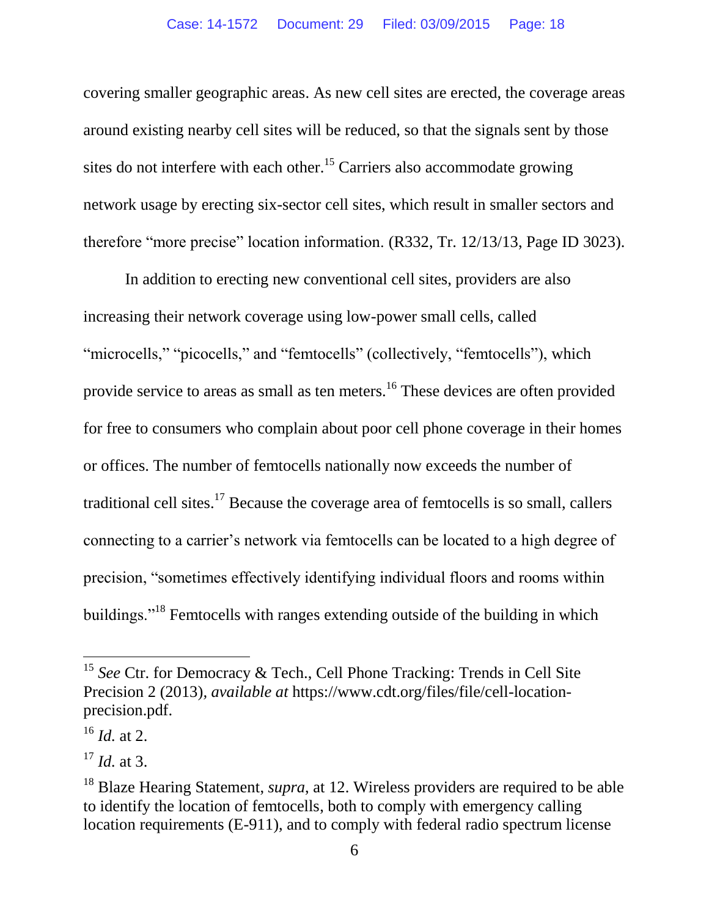covering smaller geographic areas. As new cell sites are erected, the coverage areas around existing nearby cell sites will be reduced, so that the signals sent by those sites do not interfere with each other.<sup>15</sup> Carriers also accommodate growing network usage by erecting six-sector cell sites, which result in smaller sectors and therefore "more precise" location information. (R332, Tr. 12/13/13, Page ID 3023).

In addition to erecting new conventional cell sites, providers are also increasing their network coverage using low-power small cells, called "microcells," "picocells," and "femtocells" (collectively, "femtocells"), which provide service to areas as small as ten meters.<sup>16</sup> These devices are often provided for free to consumers who complain about poor cell phone coverage in their homes or offices. The number of femtocells nationally now exceeds the number of traditional cell sites.<sup>17</sup> Because the coverage area of femtocells is so small, callers connecting to a carrier's network via femtocells can be located to a high degree of precision, "sometimes effectively identifying individual floors and rooms within buildings."<sup>18</sup> Femtocells with ranges extending outside of the building in which

<sup>&</sup>lt;sup>15</sup> See Ctr. for Democracy & Tech., Cell Phone Tracking: Trends in Cell Site Precision 2 (2013)*, available at* https://www.cdt.org/files/file/cell-locationprecision.pdf.

<sup>16</sup> *Id.* at 2.

<sup>17</sup> *Id.* at 3.

<sup>18</sup> Blaze Hearing Statement, *supra*, at 12. Wireless providers are required to be able to identify the location of femtocells, both to comply with emergency calling location requirements (E-911), and to comply with federal radio spectrum license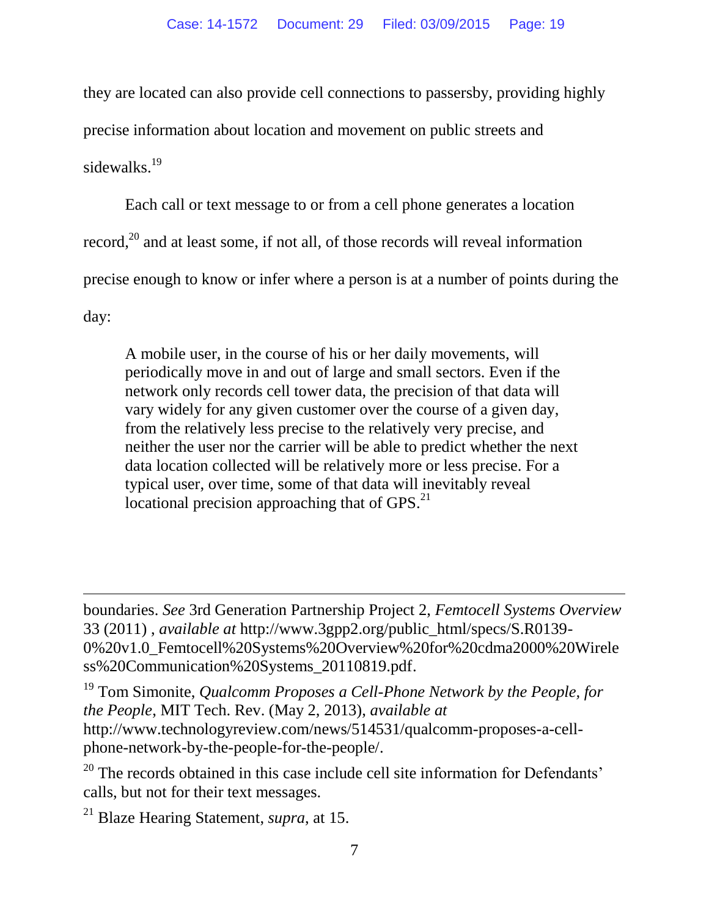they are located can also provide cell connections to passersby, providing highly precise information about location and movement on public streets and sidewalks.<sup>19</sup>

Each call or text message to or from a cell phone generates a location record,<sup>20</sup> and at least some, if not all, of those records will reveal information precise enough to know or infer where a person is at a number of points during the day:

A mobile user, in the course of his or her daily movements, will periodically move in and out of large and small sectors. Even if the network only records cell tower data, the precision of that data will vary widely for any given customer over the course of a given day, from the relatively less precise to the relatively very precise, and neither the user nor the carrier will be able to predict whether the next data location collected will be relatively more or less precise. For a typical user, over time, some of that data will inevitably reveal locational precision approaching that of  $GPS<sup>21</sup>$ 

boundaries. *See* 3rd Generation Partnership Project 2, *Femtocell Systems Overview* 33 (2011) , *available at* http://www.3gpp2.org/public\_html/specs/S.R0139- 0%20v1.0\_Femtocell%20Systems%20Overview%20for%20cdma2000%20Wirele ss%20Communication%20Systems\_20110819.pdf.

<sup>19</sup> Tom Simonite, *Qualcomm Proposes a Cell-Phone Network by the People, for the People*, MIT Tech. Rev. (May 2, 2013), *available at* http://www.technologyreview.com/news/514531/qualcomm-proposes-a-cellphone-network-by-the-people-for-the-people/.

 $20$  The records obtained in this case include cell site information for Defendants' calls, but not for their text messages.

<sup>21</sup> Blaze Hearing Statement, *supra*, at 15.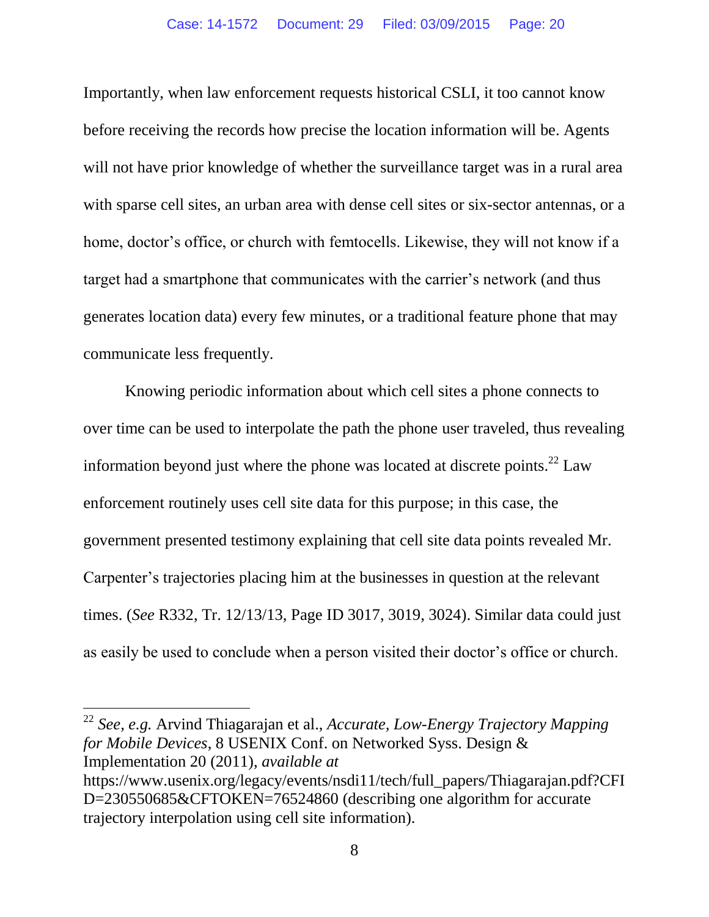Importantly, when law enforcement requests historical CSLI, it too cannot know before receiving the records how precise the location information will be. Agents will not have prior knowledge of whether the surveillance target was in a rural area with sparse cell sites, an urban area with dense cell sites or six-sector antennas, or a home, doctor's office, or church with femtocells. Likewise, they will not know if a target had a smartphone that communicates with the carrier's network (and thus generates location data) every few minutes, or a traditional feature phone that may communicate less frequently.

Knowing periodic information about which cell sites a phone connects to over time can be used to interpolate the path the phone user traveled, thus revealing information beyond just where the phone was located at discrete points.<sup>22</sup> Law enforcement routinely uses cell site data for this purpose; in this case, the government presented testimony explaining that cell site data points revealed Mr. Carpenter's trajectories placing him at the businesses in question at the relevant times. (*See* R332, Tr. 12/13/13, Page ID 3017, 3019, 3024). Similar data could just as easily be used to conclude when a person visited their doctor's office or church.

<sup>22</sup> *See, e.g.* Arvind Thiagarajan et al., *Accurate, Low-Energy Trajectory Mapping for Mobile Devices*, 8 USENIX Conf. on Networked Syss. Design & Implementation 20 (2011), *available at* https://www.usenix.org/legacy/events/nsdi11/tech/full\_papers/Thiagarajan.pdf?CFI

D=230550685&CFTOKEN=76524860 (describing one algorithm for accurate trajectory interpolation using cell site information).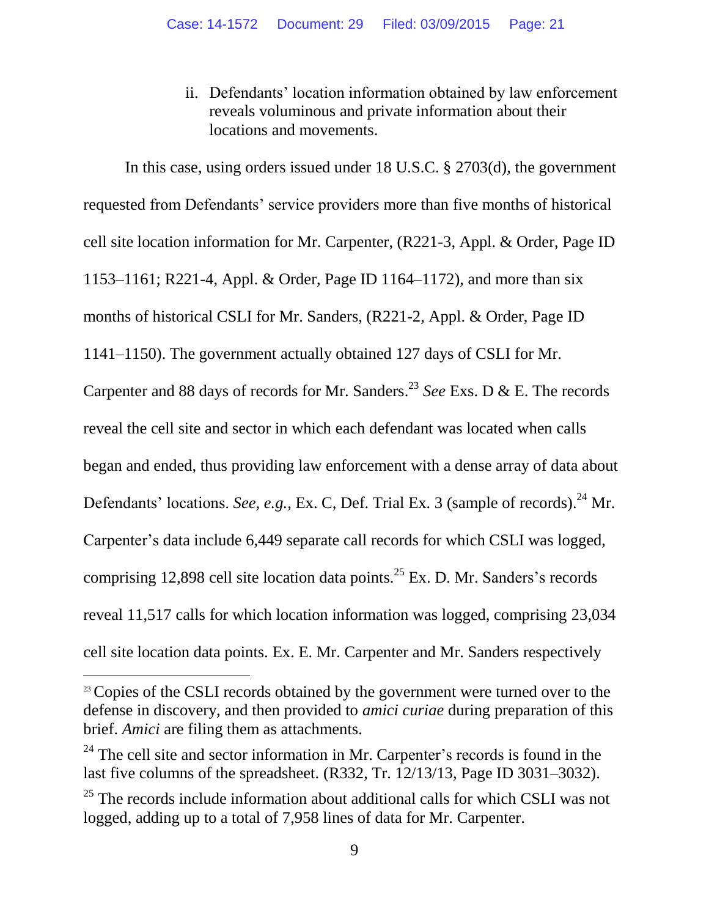ii. Defendants' location information obtained by law enforcement reveals voluminous and private information about their locations and movements.

<span id="page-20-0"></span>In this case, using orders issued under 18 U.S.C. § 2703(d), the government requested from Defendants' service providers more than five months of historical cell site location information for Mr. Carpenter, (R221-3, Appl. & Order, Page ID 1153–1161; R221-4, Appl. & Order, Page ID 1164–1172), and more than six months of historical CSLI for Mr. Sanders, (R221-2, Appl. & Order, Page ID 1141–1150). The government actually obtained 127 days of CSLI for Mr. Carpenter and 88 days of records for Mr. Sanders. <sup>23</sup> *See* Exs. D & E. The records reveal the cell site and sector in which each defendant was located when calls began and ended, thus providing law enforcement with a dense array of data about Defendants' locations. *See, e.g.*, Ex. C, Def. Trial Ex. 3 (sample of records).<sup>24</sup> Mr. Carpenter's data include 6,449 separate call records for which CSLI was logged, comprising 12,898 cell site location data points.<sup>25</sup> Ex. D. Mr. Sanders's records reveal 11,517 calls for which location information was logged, comprising 23,034 cell site location data points. Ex. E. Mr. Carpenter and Mr. Sanders respectively

<sup>&</sup>lt;sup>23</sup> Copies of the CSLI records obtained by the government were turned over to the defense in discovery, and then provided to *amici curiae* during preparation of this brief. *Amici* are filing them as attachments.

 $24$  The cell site and sector information in Mr. Carpenter's records is found in the last five columns of the spreadsheet. (R332, Tr. 12/13/13, Page ID 3031–3032).

 $25$  The records include information about additional calls for which CSLI was not logged, adding up to a total of 7,958 lines of data for Mr. Carpenter.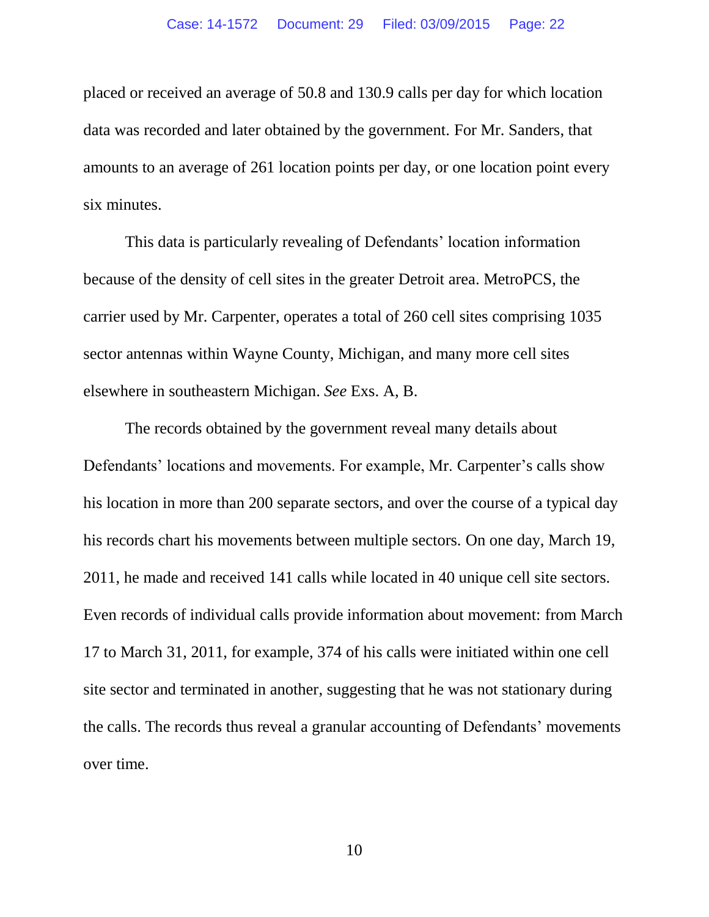placed or received an average of 50.8 and 130.9 calls per day for which location data was recorded and later obtained by the government. For Mr. Sanders, that amounts to an average of 261 location points per day, or one location point every six minutes.

This data is particularly revealing of Defendants' location information because of the density of cell sites in the greater Detroit area. MetroPCS, the carrier used by Mr. Carpenter, operates a total of 260 cell sites comprising 1035 sector antennas within Wayne County, Michigan, and many more cell sites elsewhere in southeastern Michigan. *See* Exs. A, B.

The records obtained by the government reveal many details about Defendants' locations and movements. For example, Mr. Carpenter's calls show his location in more than 200 separate sectors, and over the course of a typical day his records chart his movements between multiple sectors. On one day, March 19, 2011, he made and received 141 calls while located in 40 unique cell site sectors. Even records of individual calls provide information about movement: from March 17 to March 31, 2011, for example, 374 of his calls were initiated within one cell site sector and terminated in another, suggesting that he was not stationary during the calls. The records thus reveal a granular accounting of Defendants' movements over time.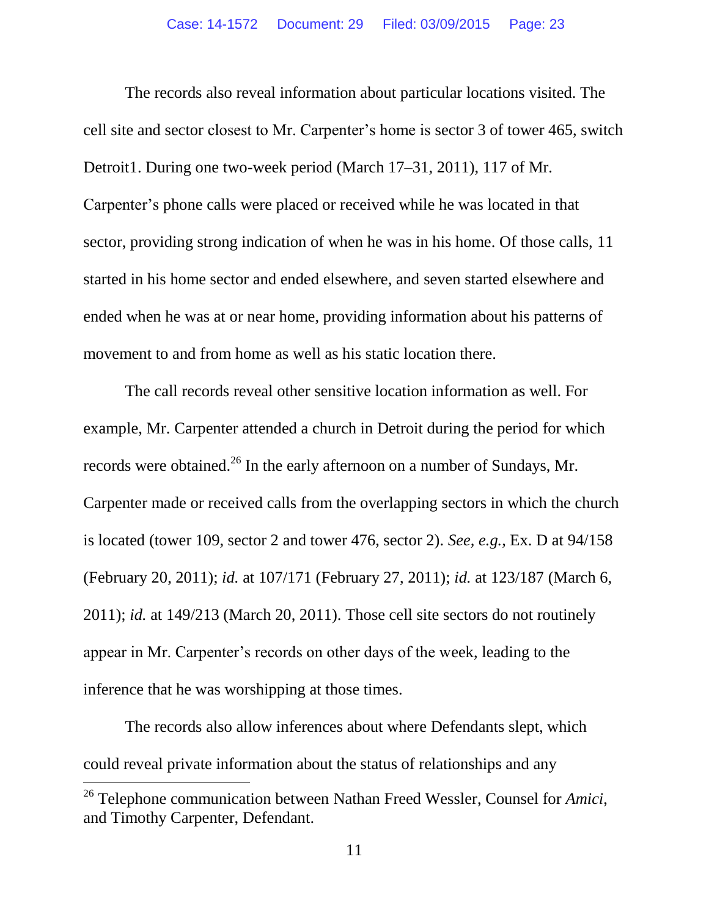The records also reveal information about particular locations visited. The cell site and sector closest to Mr. Carpenter's home is sector 3 of tower 465, switch Detroit1. During one two-week period (March 17–31, 2011), 117 of Mr. Carpenter's phone calls were placed or received while he was located in that sector, providing strong indication of when he was in his home. Of those calls, 11 started in his home sector and ended elsewhere, and seven started elsewhere and ended when he was at or near home, providing information about his patterns of movement to and from home as well as his static location there.

The call records reveal other sensitive location information as well. For example, Mr. Carpenter attended a church in Detroit during the period for which records were obtained.<sup>26</sup> In the early afternoon on a number of Sundays, Mr. Carpenter made or received calls from the overlapping sectors in which the church is located (tower 109, sector 2 and tower 476, sector 2). *See, e.g.*, Ex. D at 94/158 (February 20, 2011); *id.* at 107/171 (February 27, 2011); *id.* at 123/187 (March 6, 2011); *id.* at 149/213 (March 20, 2011). Those cell site sectors do not routinely appear in Mr. Carpenter's records on other days of the week, leading to the inference that he was worshipping at those times.

The records also allow inferences about where Defendants slept, which could reveal private information about the status of relationships and any

<sup>26</sup> Telephone communication between Nathan Freed Wessler, Counsel for *Amici*, and Timothy Carpenter, Defendant.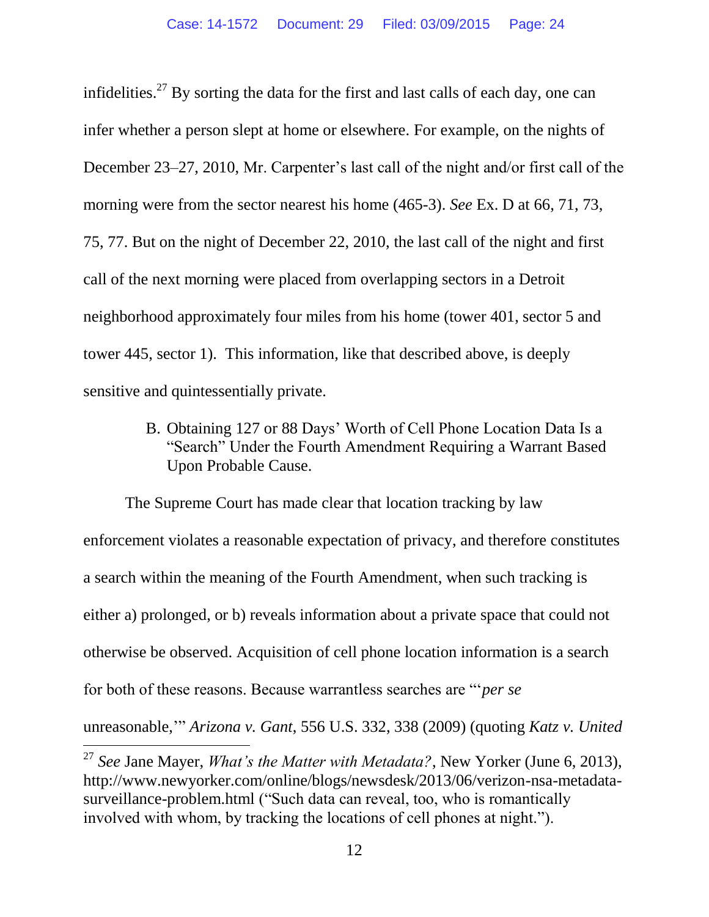infidelities.<sup>27</sup> By sorting the data for the first and last calls of each day, one can infer whether a person slept at home or elsewhere. For example, on the nights of December 23–27, 2010, Mr. Carpenter's last call of the night and/or first call of the morning were from the sector nearest his home (465-3). *See* Ex. D at 66, 71, 73, 75, 77. But on the night of December 22, 2010, the last call of the night and first call of the next morning were placed from overlapping sectors in a Detroit neighborhood approximately four miles from his home (tower 401, sector 5 and tower 445, sector 1). This information, like that described above, is deeply sensitive and quintessentially private.

> <span id="page-23-0"></span>B. Obtaining 127 or 88 Days' Worth of Cell Phone Location Data Is a "Search" Under the Fourth Amendment Requiring a Warrant Based Upon Probable Cause.

The Supreme Court has made clear that location tracking by law enforcement violates a reasonable expectation of privacy, and therefore constitutes a search within the meaning of the Fourth Amendment, when such tracking is either a) prolonged, or b) reveals information about a private space that could not otherwise be observed. Acquisition of cell phone location information is a search for both of these reasons. Because warrantless searches are "'*per se* unreasonable,'" *Arizona v. Gant*, 556 U.S. 332, 338 (2009) (quoting *Katz v. United* 

<sup>27</sup> *See* Jane Mayer, *What's the Matter with Metadata?*, New Yorker (June 6, 2013), http://www.newyorker.com/online/blogs/newsdesk/2013/06/verizon-nsa-metadatasurveillance-problem.html ("Such data can reveal, too, who is romantically involved with whom, by tracking the locations of cell phones at night.").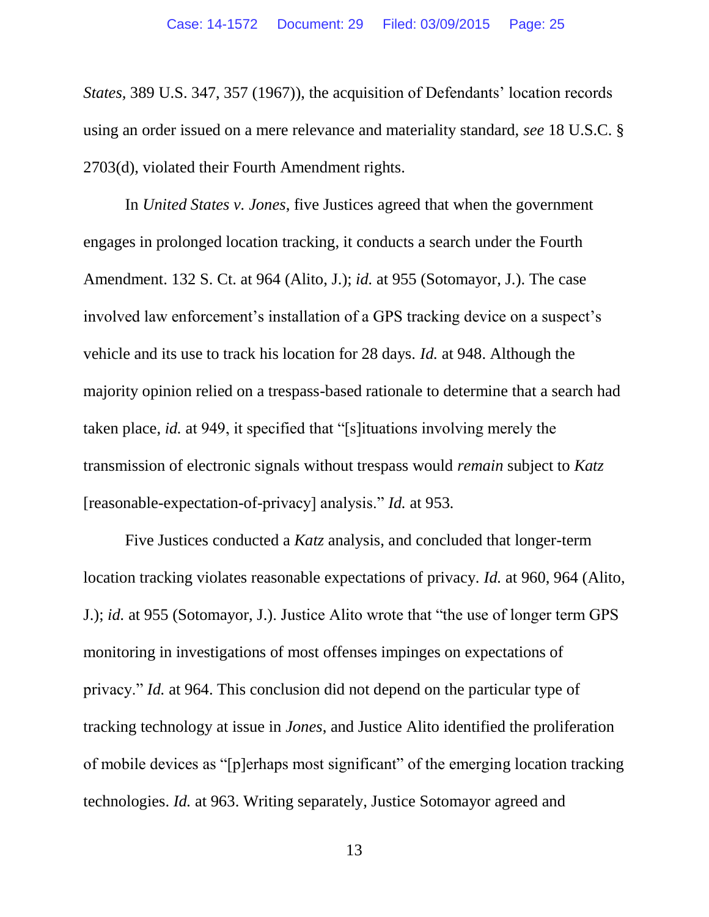*States,* 389 U.S. 347, 357 (1967)), the acquisition of Defendants' location records using an order issued on a mere relevance and materiality standard, *see* 18 U.S.C. § 2703(d), violated their Fourth Amendment rights.

In *United States v. Jones*, five Justices agreed that when the government engages in prolonged location tracking, it conducts a search under the Fourth Amendment. 132 S. Ct. at 964 (Alito, J.); *id.* at 955 (Sotomayor, J.). The case involved law enforcement's installation of a GPS tracking device on a suspect's vehicle and its use to track his location for 28 days. *Id.* at 948. Although the majority opinion relied on a trespass-based rationale to determine that a search had taken place, *id.* at 949, it specified that "[s]ituations involving merely the transmission of electronic signals without trespass would *remain* subject to *Katz* [reasonable-expectation-of-privacy] analysis." *Id.* at 953*.*

Five Justices conducted a *Katz* analysis, and concluded that longer-term location tracking violates reasonable expectations of privacy. *Id.* at 960, 964 (Alito, J.); *id.* at 955 (Sotomayor, J.). Justice Alito wrote that "the use of longer term GPS monitoring in investigations of most offenses impinges on expectations of privacy." *Id.* at 964. This conclusion did not depend on the particular type of tracking technology at issue in *Jones*, and Justice Alito identified the proliferation of mobile devices as "[p]erhaps most significant" of the emerging location tracking technologies. *Id.* at 963. Writing separately, Justice Sotomayor agreed and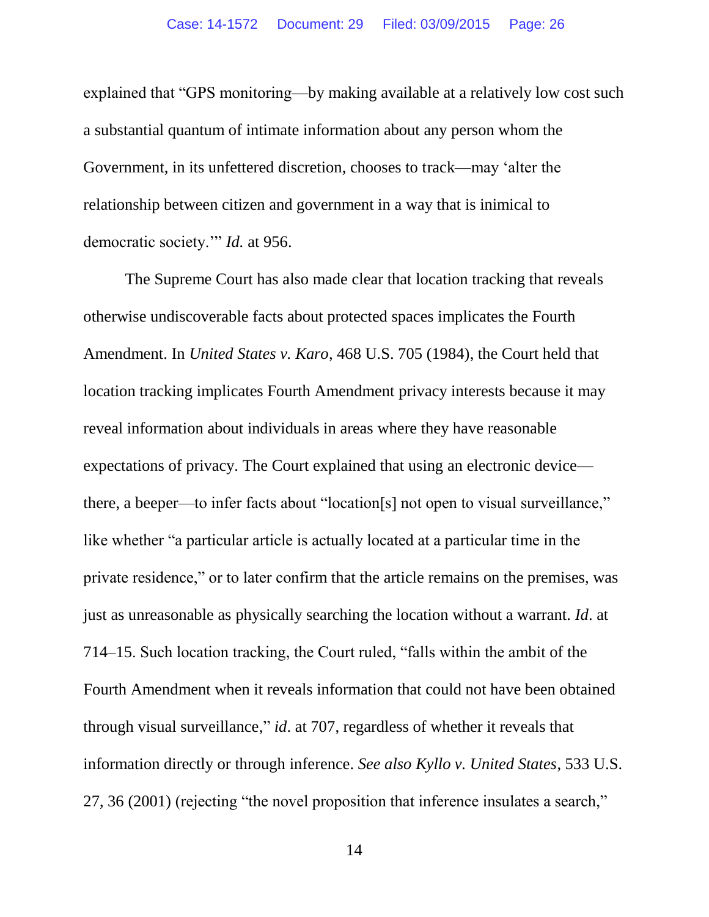explained that "GPS monitoring—by making available at a relatively low cost such a substantial quantum of intimate information about any person whom the Government, in its unfettered discretion, chooses to track—may 'alter the relationship between citizen and government in a way that is inimical to democratic society.'" *Id.* at 956.

The Supreme Court has also made clear that location tracking that reveals otherwise undiscoverable facts about protected spaces implicates the Fourth Amendment. In *United States v. Karo*, 468 U.S. 705 (1984), the Court held that location tracking implicates Fourth Amendment privacy interests because it may reveal information about individuals in areas where they have reasonable expectations of privacy. The Court explained that using an electronic device there, a beeper—to infer facts about "location[s] not open to visual surveillance," like whether "a particular article is actually located at a particular time in the private residence," or to later confirm that the article remains on the premises, was just as unreasonable as physically searching the location without a warrant. *Id*. at 714–15. Such location tracking, the Court ruled, "falls within the ambit of the Fourth Amendment when it reveals information that could not have been obtained through visual surveillance," *id*. at 707, regardless of whether it reveals that information directly or through inference. *See also Kyllo v. United States*, 533 U.S. 27, 36 (2001) (rejecting "the novel proposition that inference insulates a search,"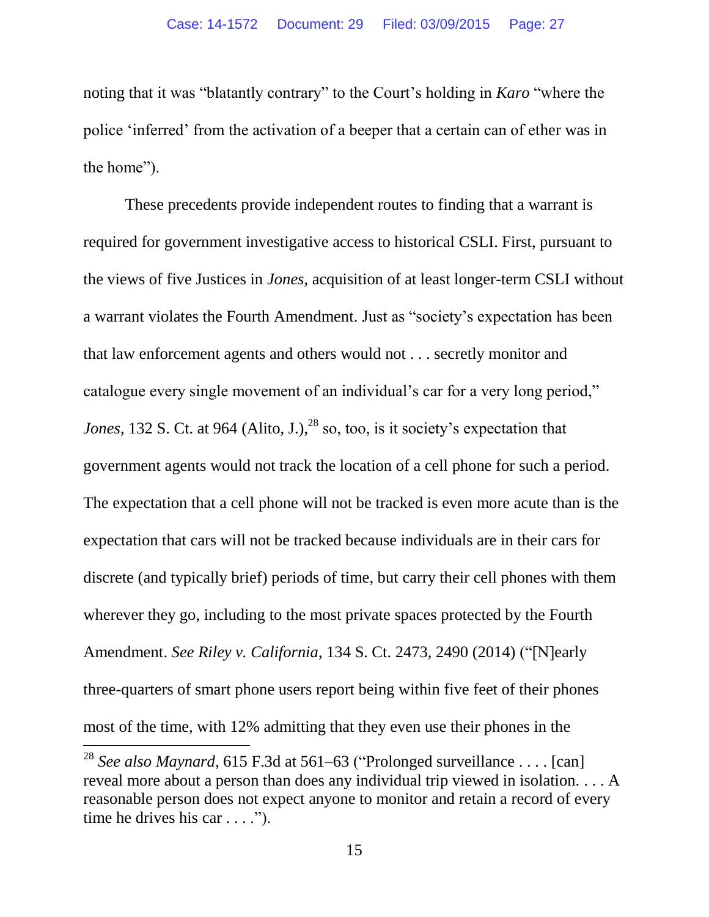noting that it was "blatantly contrary" to the Court's holding in *Karo* "where the police 'inferred' from the activation of a beeper that a certain can of ether was in the home").

These precedents provide independent routes to finding that a warrant is required for government investigative access to historical CSLI. First, pursuant to the views of five Justices in *Jones*, acquisition of at least longer-term CSLI without a warrant violates the Fourth Amendment. Just as "society's expectation has been that law enforcement agents and others would not . . . secretly monitor and catalogue every single movement of an individual's car for a very long period," *Jones*, 132 S. Ct. at 964 (Alito, J.),  $^{28}$  so, too, is it society's expectation that government agents would not track the location of a cell phone for such a period. The expectation that a cell phone will not be tracked is even more acute than is the expectation that cars will not be tracked because individuals are in their cars for discrete (and typically brief) periods of time, but carry their cell phones with them wherever they go, including to the most private spaces protected by the Fourth Amendment. *See Riley v. California*, 134 S. Ct. 2473, 2490 (2014) ("[N]early three-quarters of smart phone users report being within five feet of their phones most of the time, with 12% admitting that they even use their phones in the

<sup>28</sup> *See also Maynard*, 615 F.3d at 561–63 ("Prolonged surveillance . . . . [can] reveal more about a person than does any individual trip viewed in isolation. . . . A reasonable person does not expect anyone to monitor and retain a record of every time he drives his car  $\dots$ .").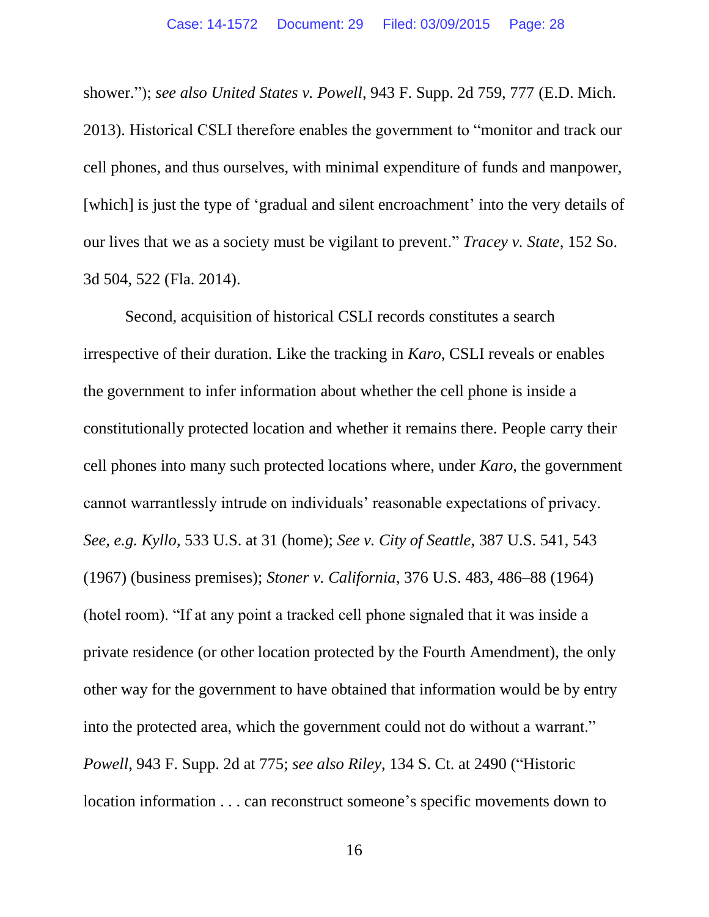shower."); *see also United States v. Powell*, 943 F. Supp. 2d 759, 777 (E.D. Mich. 2013). Historical CSLI therefore enables the government to "monitor and track our cell phones, and thus ourselves, with minimal expenditure of funds and manpower, [which] is just the type of 'gradual and silent encroachment' into the very details of our lives that we as a society must be vigilant to prevent." *Tracey v. State*, 152 So. 3d 504, 522 (Fla. 2014).

Second, acquisition of historical CSLI records constitutes a search irrespective of their duration. Like the tracking in *Karo*, CSLI reveals or enables the government to infer information about whether the cell phone is inside a constitutionally protected location and whether it remains there. People carry their cell phones into many such protected locations where, under *Karo*, the government cannot warrantlessly intrude on individuals' reasonable expectations of privacy. *See, e.g. Kyllo*, 533 U.S. at 31 (home); *See v. City of Seattle*, 387 U.S. 541, 543 (1967) (business premises); *Stoner v. California*, 376 U.S. 483, 486–88 (1964) (hotel room). "If at any point a tracked cell phone signaled that it was inside a private residence (or other location protected by the Fourth Amendment), the only other way for the government to have obtained that information would be by entry into the protected area, which the government could not do without a warrant." *Powell*, 943 F. Supp. 2d at 775; *see also Riley*, 134 S. Ct. at 2490 ("Historic location information . . . can reconstruct someone's specific movements down to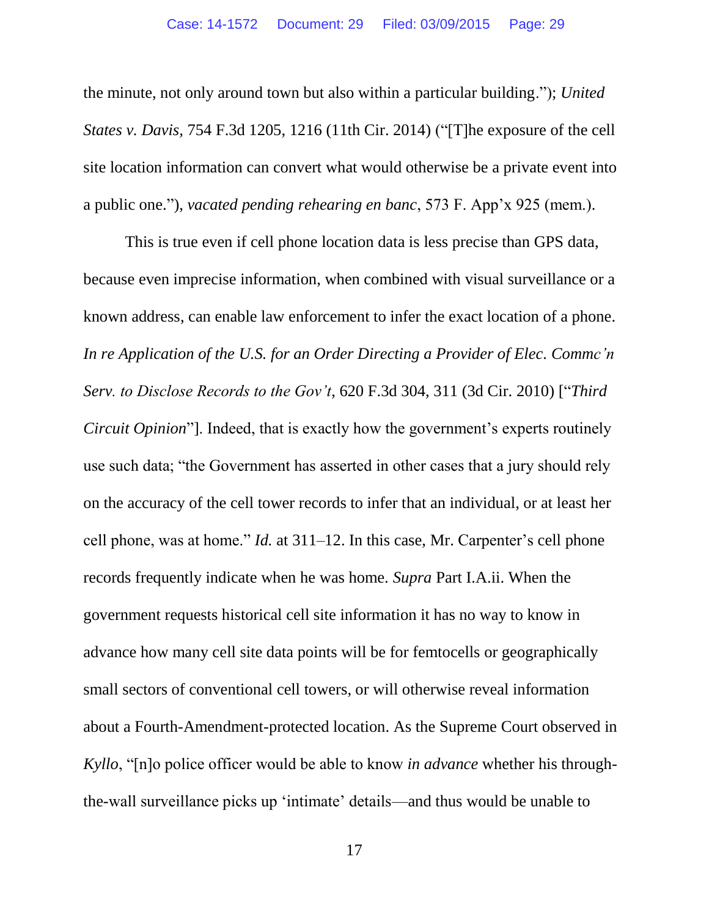the minute, not only around town but also within a particular building."); *United States v. Davis,* 754 F.3d 1205, 1216 (11th Cir. 2014) ("[T]he exposure of the cell site location information can convert what would otherwise be a private event into a public one."), *vacated pending rehearing en banc*, 573 F. App'x 925 (mem.).

This is true even if cell phone location data is less precise than GPS data, because even imprecise information, when combined with visual surveillance or a known address, can enable law enforcement to infer the exact location of a phone. *In re Application of the U.S. for an Order Directing a Provider of Elec. Commc'n Serv. to Disclose Records to the Gov't*, 620 F.3d 304, 311 (3d Cir. 2010) ["*Third Circuit Opinion*"]. Indeed, that is exactly how the government's experts routinely use such data; "the Government has asserted in other cases that a jury should rely on the accuracy of the cell tower records to infer that an individual, or at least her cell phone, was at home." *Id.* at 311–12. In this case, Mr. Carpenter's cell phone records frequently indicate when he was home. *Supra* Part I.A.ii. When the government requests historical cell site information it has no way to know in advance how many cell site data points will be for femtocells or geographically small sectors of conventional cell towers, or will otherwise reveal information about a Fourth-Amendment-protected location. As the Supreme Court observed in *Kyllo*, "[n]o police officer would be able to know *in advance* whether his throughthe-wall surveillance picks up 'intimate' details—and thus would be unable to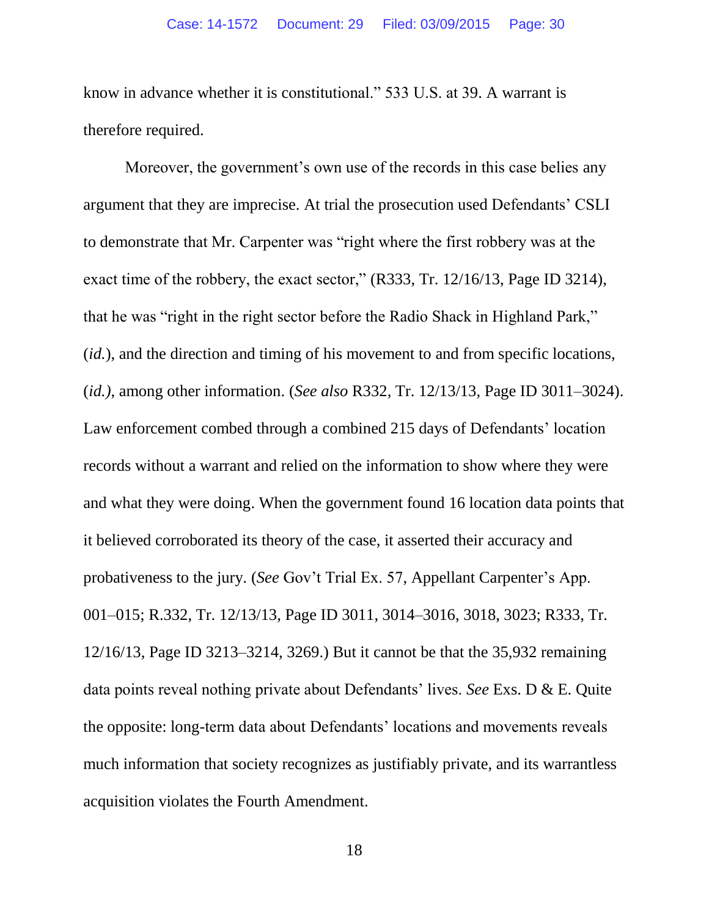know in advance whether it is constitutional." 533 U.S. at 39. A warrant is therefore required.

Moreover, the government's own use of the records in this case belies any argument that they are imprecise. At trial the prosecution used Defendants' CSLI to demonstrate that Mr. Carpenter was "right where the first robbery was at the exact time of the robbery, the exact sector," (R333, Tr. 12/16/13, Page ID 3214), that he was "right in the right sector before the Radio Shack in Highland Park," (*id.*), and the direction and timing of his movement to and from specific locations, (*id.)*, among other information. (*See also* R332, Tr. 12/13/13, Page ID 3011–3024). Law enforcement combed through a combined 215 days of Defendants' location records without a warrant and relied on the information to show where they were and what they were doing. When the government found 16 location data points that it believed corroborated its theory of the case, it asserted their accuracy and probativeness to the jury. (*See* Gov't Trial Ex. 57, Appellant Carpenter's App. 001–015; R.332, Tr. 12/13/13, Page ID 3011, 3014–3016, 3018, 3023; R333, Tr. 12/16/13, Page ID 3213–3214, 3269.) But it cannot be that the 35,932 remaining data points reveal nothing private about Defendants' lives. *See* Exs. D & E. Quite the opposite: long-term data about Defendants' locations and movements reveals much information that society recognizes as justifiably private, and its warrantless acquisition violates the Fourth Amendment.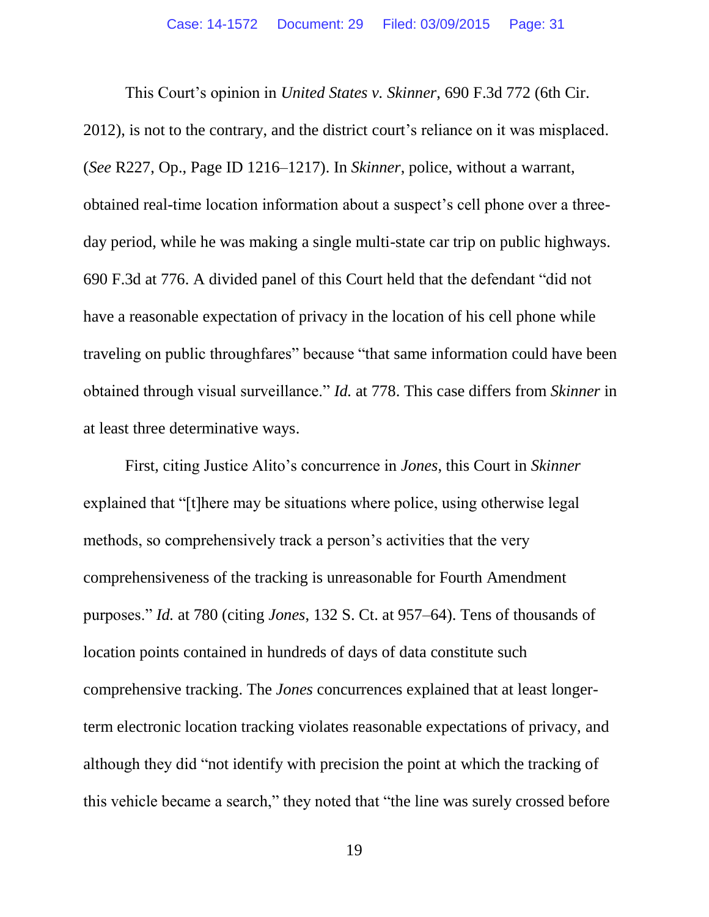This Court's opinion in *United States v. Skinner*, 690 F.3d 772 (6th Cir. 2012), is not to the contrary, and the district court's reliance on it was misplaced. (*See* R227, Op., Page ID 1216–1217). In *Skinner*, police, without a warrant, obtained real-time location information about a suspect's cell phone over a threeday period, while he was making a single multi-state car trip on public highways. 690 F.3d at 776. A divided panel of this Court held that the defendant "did not have a reasonable expectation of privacy in the location of his cell phone while traveling on public throughfares" because "that same information could have been obtained through visual surveillance." *Id.* at 778. This case differs from *Skinner* in at least three determinative ways.

First, citing Justice Alito's concurrence in *Jones*, this Court in *Skinner* explained that "[t]here may be situations where police, using otherwise legal methods, so comprehensively track a person's activities that the very comprehensiveness of the tracking is unreasonable for Fourth Amendment purposes." *Id.* at 780 (citing *Jones*, 132 S. Ct. at 957–64). Tens of thousands of location points contained in hundreds of days of data constitute such comprehensive tracking. The *Jones* concurrences explained that at least longerterm electronic location tracking violates reasonable expectations of privacy, and although they did "not identify with precision the point at which the tracking of this vehicle became a search," they noted that "the line was surely crossed before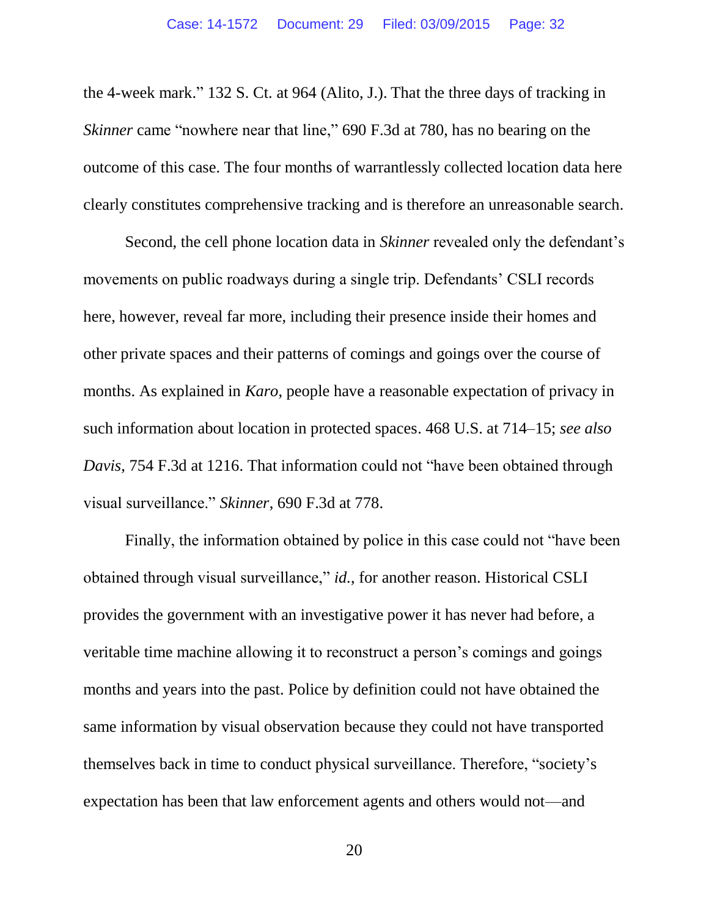the 4-week mark." 132 S. Ct. at 964 (Alito, J.). That the three days of tracking in *Skinner* came "nowhere near that line," 690 F.3d at 780, has no bearing on the outcome of this case. The four months of warrantlessly collected location data here clearly constitutes comprehensive tracking and is therefore an unreasonable search.

Second, the cell phone location data in *Skinner* revealed only the defendant's movements on public roadways during a single trip. Defendants' CSLI records here, however, reveal far more, including their presence inside their homes and other private spaces and their patterns of comings and goings over the course of months. As explained in *Karo*, people have a reasonable expectation of privacy in such information about location in protected spaces. 468 U.S. at 714–15; *see also Davis*, 754 F.3d at 1216. That information could not "have been obtained through visual surveillance." *Skinner*, 690 F.3d at 778.

Finally, the information obtained by police in this case could not "have been obtained through visual surveillance," *id.*, for another reason. Historical CSLI provides the government with an investigative power it has never had before, a veritable time machine allowing it to reconstruct a person's comings and goings months and years into the past. Police by definition could not have obtained the same information by visual observation because they could not have transported themselves back in time to conduct physical surveillance. Therefore, "society's expectation has been that law enforcement agents and others would not—and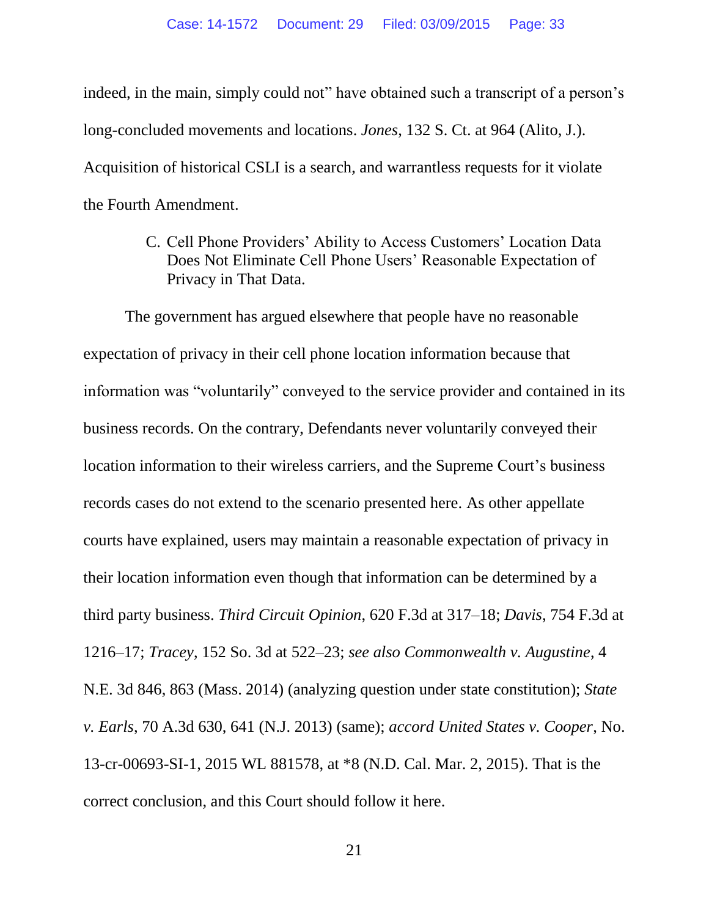indeed, in the main, simply could not" have obtained such a transcript of a person's long-concluded movements and locations. *Jones*, 132 S. Ct. at 964 (Alito, J.). Acquisition of historical CSLI is a search, and warrantless requests for it violate the Fourth Amendment.

> <span id="page-32-0"></span>C. Cell Phone Providers' Ability to Access Customers' Location Data Does Not Eliminate Cell Phone Users' Reasonable Expectation of Privacy in That Data.

The government has argued elsewhere that people have no reasonable expectation of privacy in their cell phone location information because that information was "voluntarily" conveyed to the service provider and contained in its business records. On the contrary, Defendants never voluntarily conveyed their location information to their wireless carriers, and the Supreme Court's business records cases do not extend to the scenario presented here. As other appellate courts have explained, users may maintain a reasonable expectation of privacy in their location information even though that information can be determined by a third party business. *Third Circuit Opinion*, 620 F.3d at 317–18; *Davis*, 754 F.3d at 1216–17; *Tracey*, 152 So. 3d at 522–23; *see also Commonwealth v. Augustine*, 4 N.E. 3d 846, 863 (Mass. 2014) (analyzing question under state constitution); *State v. Earls*, 70 A.3d 630, 641 (N.J. 2013) (same); *accord United States v. Cooper*, No. 13-cr-00693-SI-1, 2015 WL 881578, at \*8 (N.D. Cal. Mar. 2, 2015). That is the correct conclusion, and this Court should follow it here.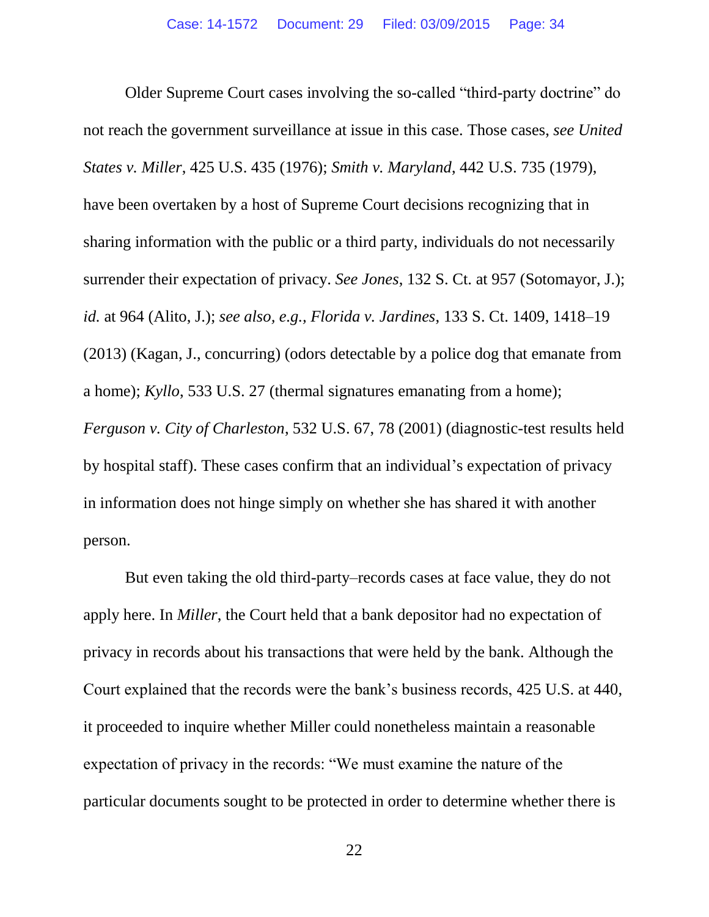Older Supreme Court cases involving the so-called "third-party doctrine" do not reach the government surveillance at issue in this case. Those cases, *see United States v. Miller*, 425 U.S. 435 (1976); *Smith v. Maryland*, 442 U.S. 735 (1979), have been overtaken by a host of Supreme Court decisions recognizing that in sharing information with the public or a third party, individuals do not necessarily surrender their expectation of privacy. *See Jones*, 132 S. Ct. at 957 (Sotomayor, J.); *id.* at 964 (Alito, J.); *see also, e.g., Florida v. Jardines*, 133 S. Ct. 1409, 1418–19 (2013) (Kagan, J., concurring) (odors detectable by a police dog that emanate from a home); *Kyllo*, 533 U.S. 27 (thermal signatures emanating from a home); *Ferguson v. City of Charleston*, 532 U.S. 67, 78 (2001) (diagnostic-test results held by hospital staff). These cases confirm that an individual's expectation of privacy in information does not hinge simply on whether she has shared it with another person.

But even taking the old third-party–records cases at face value, they do not apply here. In *Miller*, the Court held that a bank depositor had no expectation of privacy in records about his transactions that were held by the bank. Although the Court explained that the records were the bank's business records, 425 U.S. at 440, it proceeded to inquire whether Miller could nonetheless maintain a reasonable expectation of privacy in the records: "We must examine the nature of the particular documents sought to be protected in order to determine whether there is

22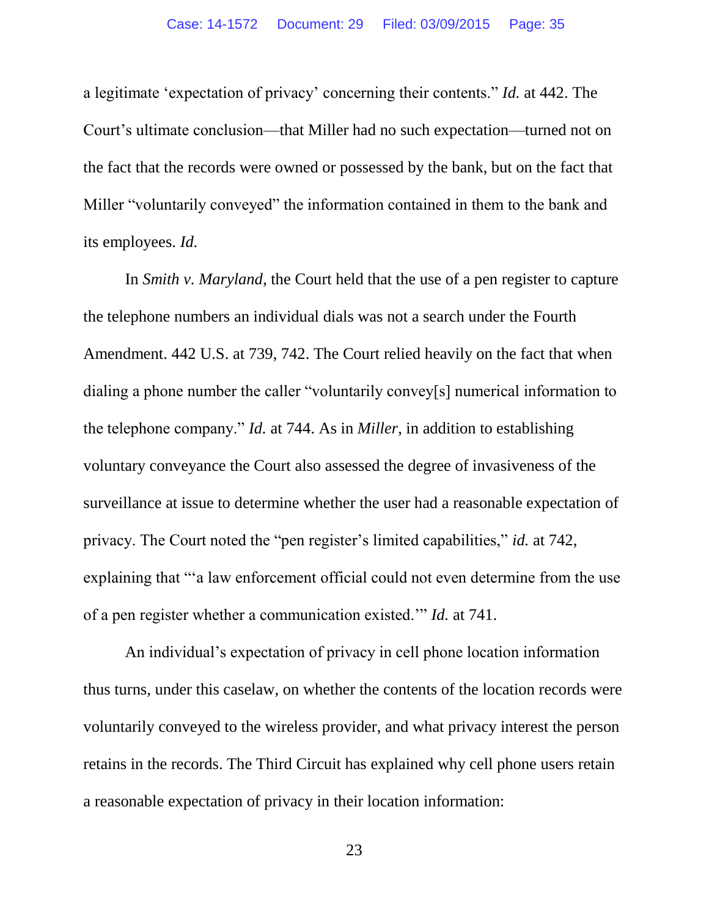a legitimate 'expectation of privacy' concerning their contents." *Id.* at 442. The Court's ultimate conclusion—that Miller had no such expectation—turned not on the fact that the records were owned or possessed by the bank, but on the fact that Miller "voluntarily conveyed" the information contained in them to the bank and its employees. *Id.*

In *Smith v. Maryland*, the Court held that the use of a pen register to capture the telephone numbers an individual dials was not a search under the Fourth Amendment. 442 U.S. at 739, 742. The Court relied heavily on the fact that when dialing a phone number the caller "voluntarily convey[s] numerical information to the telephone company." *Id.* at 744. As in *Miller*, in addition to establishing voluntary conveyance the Court also assessed the degree of invasiveness of the surveillance at issue to determine whether the user had a reasonable expectation of privacy. The Court noted the "pen register's limited capabilities," *id.* at 742, explaining that "'a law enforcement official could not even determine from the use of a pen register whether a communication existed.'" *Id.* at 741.

An individual's expectation of privacy in cell phone location information thus turns, under this caselaw, on whether the contents of the location records were voluntarily conveyed to the wireless provider, and what privacy interest the person retains in the records. The Third Circuit has explained why cell phone users retain a reasonable expectation of privacy in their location information:

23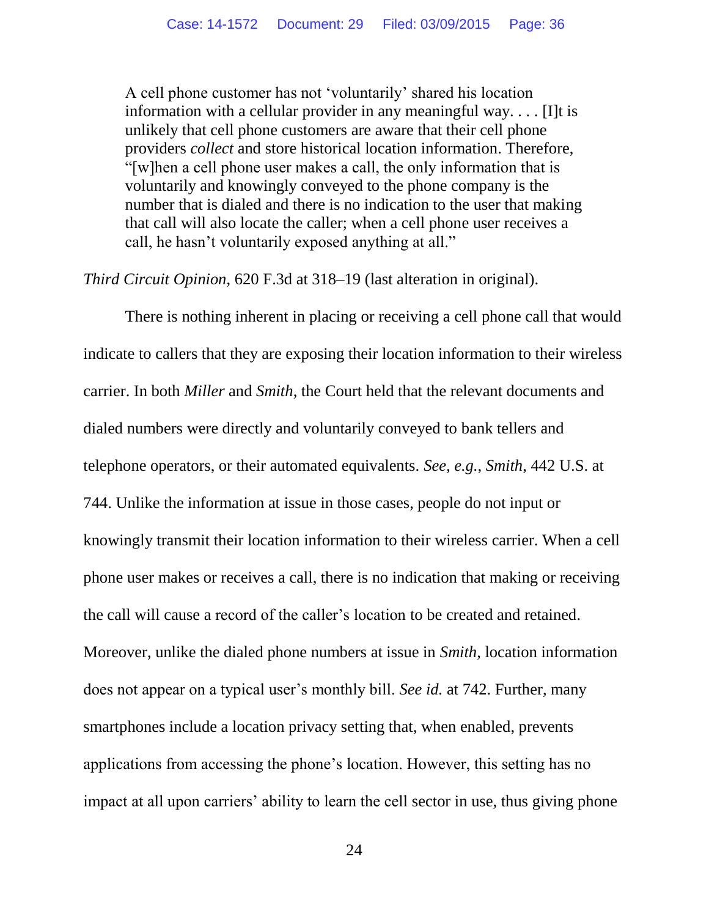A cell phone customer has not 'voluntarily' shared his location information with a cellular provider in any meaningful way. . . . [I]t is unlikely that cell phone customers are aware that their cell phone providers *collect* and store historical location information. Therefore, "[w]hen a cell phone user makes a call, the only information that is voluntarily and knowingly conveyed to the phone company is the number that is dialed and there is no indication to the user that making that call will also locate the caller; when a cell phone user receives a call, he hasn't voluntarily exposed anything at all."

*Third Circuit Opinion*, 620 F.3d at 318–19 (last alteration in original).

There is nothing inherent in placing or receiving a cell phone call that would indicate to callers that they are exposing their location information to their wireless carrier. In both *Miller* and *Smith*, the Court held that the relevant documents and dialed numbers were directly and voluntarily conveyed to bank tellers and telephone operators, or their automated equivalents. *See, e.g.*, *Smith*, 442 U.S. at 744. Unlike the information at issue in those cases, people do not input or knowingly transmit their location information to their wireless carrier. When a cell phone user makes or receives a call, there is no indication that making or receiving the call will cause a record of the caller's location to be created and retained. Moreover, unlike the dialed phone numbers at issue in *Smith*, location information does not appear on a typical user's monthly bill. *See id.* at 742. Further, many smartphones include a location privacy setting that, when enabled, prevents applications from accessing the phone's location. However, this setting has no impact at all upon carriers' ability to learn the cell sector in use, thus giving phone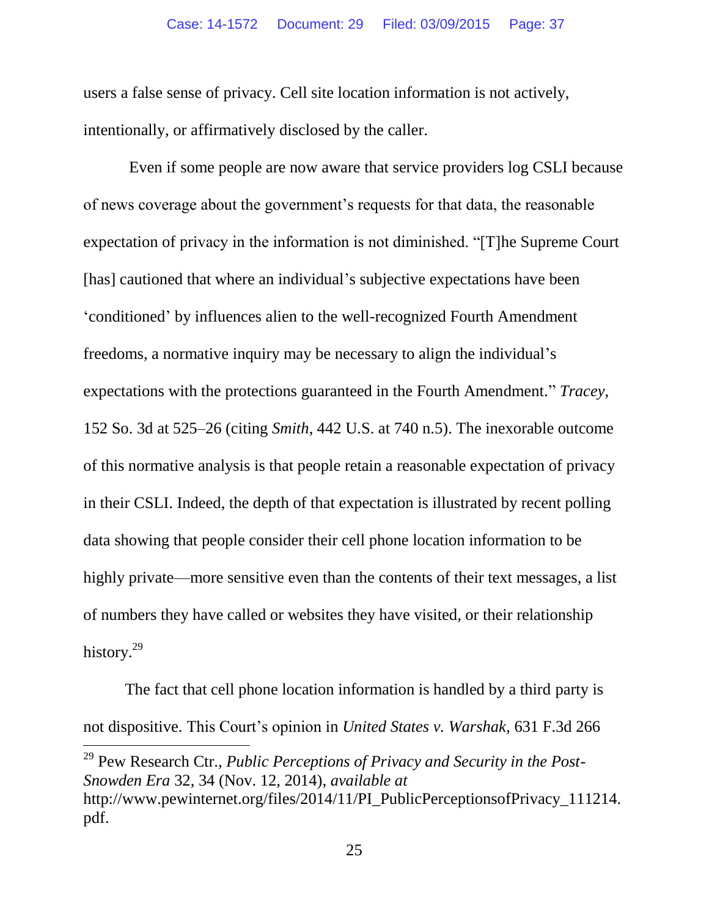users a false sense of privacy. Cell site location information is not actively, intentionally, or affirmatively disclosed by the caller.

Even if some people are now aware that service providers log CSLI because of news coverage about the government's requests for that data, the reasonable expectation of privacy in the information is not diminished. "[T]he Supreme Court [has] cautioned that where an individual's subjective expectations have been 'conditioned' by influences alien to the well-recognized Fourth Amendment freedoms, a normative inquiry may be necessary to align the individual's expectations with the protections guaranteed in the Fourth Amendment." *Tracey*, 152 So. 3d at 525–26 (citing *Smith*, 442 U.S. at 740 n.5). The inexorable outcome of this normative analysis is that people retain a reasonable expectation of privacy in their CSLI. Indeed, the depth of that expectation is illustrated by recent polling data showing that people consider their cell phone location information to be highly private—more sensitive even than the contents of their text messages, a list of numbers they have called or websites they have visited, or their relationship history.<sup>29</sup>

The fact that cell phone location information is handled by a third party is not dispositive. This Court's opinion in *United States v. Warshak*, 631 F.3d 266

<sup>29</sup> Pew Research Ctr., *Public Perceptions of Privacy and Security in the Post-Snowden Era* 32, 34 (Nov. 12, 2014), *available at*  http://www.pewinternet.org/files/2014/11/PI\_PublicPerceptionsofPrivacy\_111214. pdf.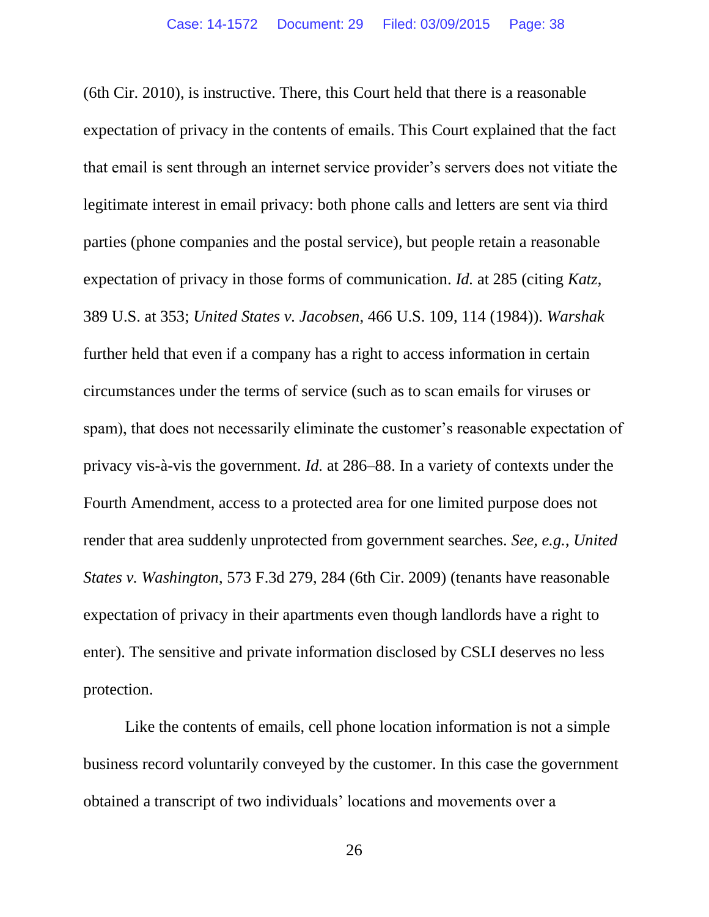(6th Cir. 2010), is instructive. There, this Court held that there is a reasonable expectation of privacy in the contents of emails. This Court explained that the fact that email is sent through an internet service provider's servers does not vitiate the legitimate interest in email privacy: both phone calls and letters are sent via third parties (phone companies and the postal service), but people retain a reasonable expectation of privacy in those forms of communication. *Id.* at 285 (citing *Katz*, 389 U.S. at 353; *United States v. Jacobsen*, 466 U.S. 109, 114 (1984)). *Warshak* further held that even if a company has a right to access information in certain circumstances under the terms of service (such as to scan emails for viruses or spam), that does not necessarily eliminate the customer's reasonable expectation of privacy vis-à-vis the government. *Id.* at 286–88. In a variety of contexts under the Fourth Amendment, access to a protected area for one limited purpose does not render that area suddenly unprotected from government searches. *See, e.g.*, *United States v. Washington*, 573 F.3d 279, 284 (6th Cir. 2009) (tenants have reasonable expectation of privacy in their apartments even though landlords have a right to enter). The sensitive and private information disclosed by CSLI deserves no less protection.

Like the contents of emails, cell phone location information is not a simple business record voluntarily conveyed by the customer. In this case the government obtained a transcript of two individuals' locations and movements over a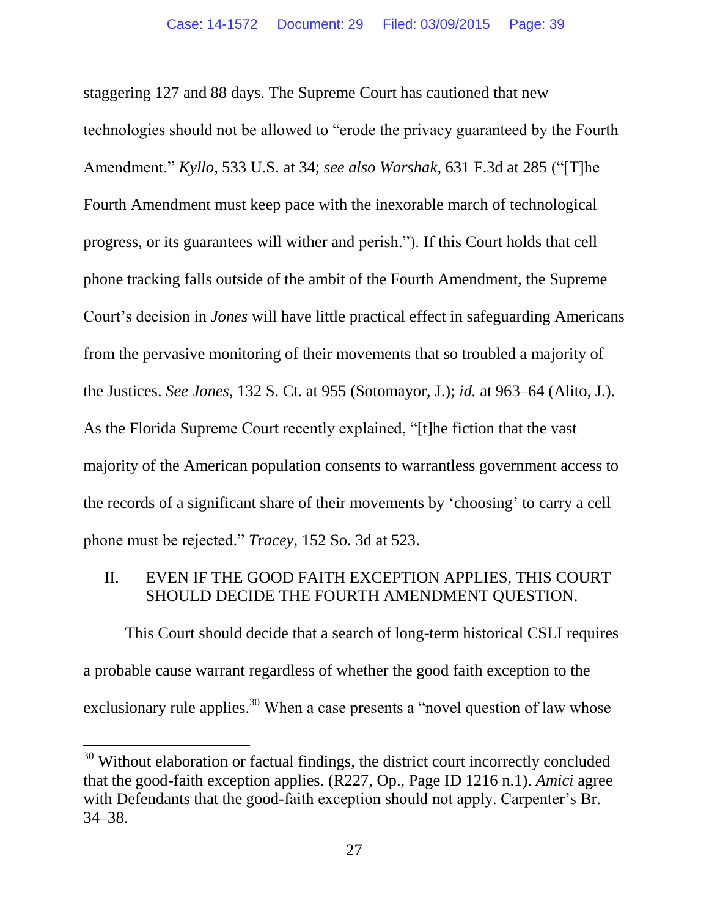staggering 127 and 88 days. The Supreme Court has cautioned that new technologies should not be allowed to "erode the privacy guaranteed by the Fourth Amendment." *Kyllo*, 533 U.S. at 34; *see also Warshak*, 631 F.3d at 285 ("[T]he Fourth Amendment must keep pace with the inexorable march of technological progress, or its guarantees will wither and perish."). If this Court holds that cell phone tracking falls outside of the ambit of the Fourth Amendment, the Supreme Court's decision in *Jones* will have little practical effect in safeguarding Americans from the pervasive monitoring of their movements that so troubled a majority of the Justices. *See Jones*, 132 S. Ct. at 955 (Sotomayor, J.); *id.* at 963–64 (Alito, J.). As the Florida Supreme Court recently explained, "[t]he fiction that the vast majority of the American population consents to warrantless government access to the records of a significant share of their movements by 'choosing' to carry a cell phone must be rejected." *Tracey*, 152 So. 3d at 523.

## <span id="page-38-0"></span>II. EVEN IF THE GOOD FAITH EXCEPTION APPLIES, THIS COURT SHOULD DECIDE THE FOURTH AMENDMENT QUESTION.

This Court should decide that a search of long-term historical CSLI requires a probable cause warrant regardless of whether the good faith exception to the exclusionary rule applies.<sup>30</sup> When a case presents a "novel question of law whose

<sup>&</sup>lt;sup>30</sup> Without elaboration or factual findings, the district court incorrectly concluded that the good-faith exception applies. (R227, Op., Page ID 1216 n.1). *Amici* agree with Defendants that the good-faith exception should not apply. Carpenter's Br. 34–38.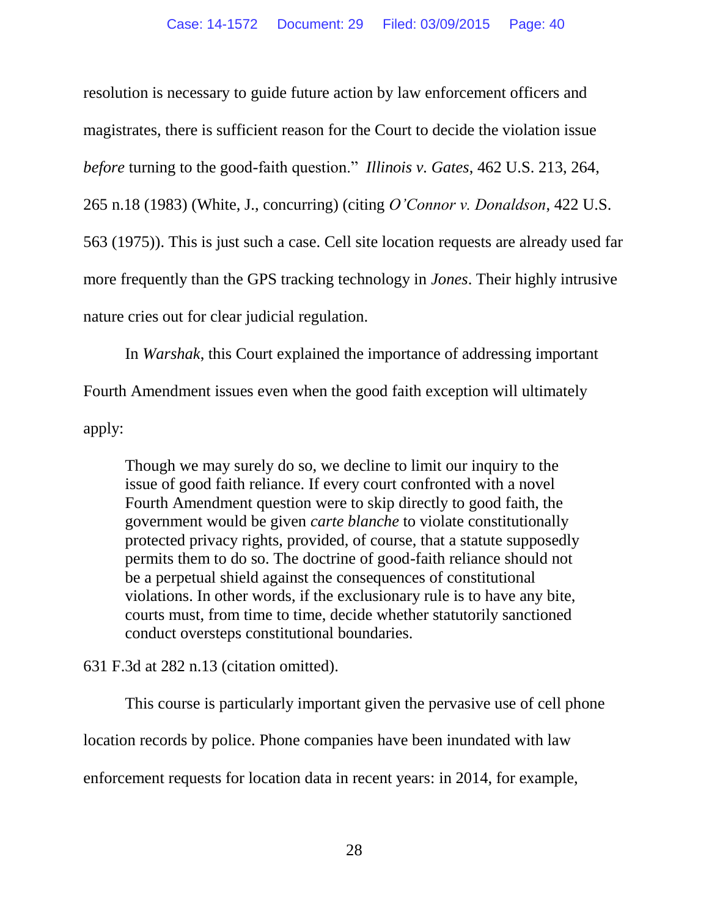resolution is necessary to guide future action by law enforcement officers and magistrates, there is sufficient reason for the Court to decide the violation issue *before* turning to the good-faith question." *Illinois v. Gates*, 462 U.S. 213, 264, 265 n.18 (1983) (White, J., concurring) (citing *O'Connor v. Donaldson*, 422 U.S. 563 (1975)). This is just such a case. Cell site location requests are already used far more frequently than the GPS tracking technology in *Jones*. Their highly intrusive nature cries out for clear judicial regulation.

In *Warshak*, this Court explained the importance of addressing important Fourth Amendment issues even when the good faith exception will ultimately apply:

Though we may surely do so, we decline to limit our inquiry to the issue of good faith reliance. If every court confronted with a novel Fourth Amendment question were to skip directly to good faith, the government would be given *carte blanche* to violate constitutionally protected privacy rights, provided, of course, that a statute supposedly permits them to do so. The doctrine of good-faith reliance should not be a perpetual shield against the consequences of constitutional violations. In other words, if the exclusionary rule is to have any bite, courts must, from time to time, decide whether statutorily sanctioned conduct oversteps constitutional boundaries.

631 F.3d at 282 n.13 (citation omitted).

This course is particularly important given the pervasive use of cell phone location records by police. Phone companies have been inundated with law enforcement requests for location data in recent years: in 2014, for example,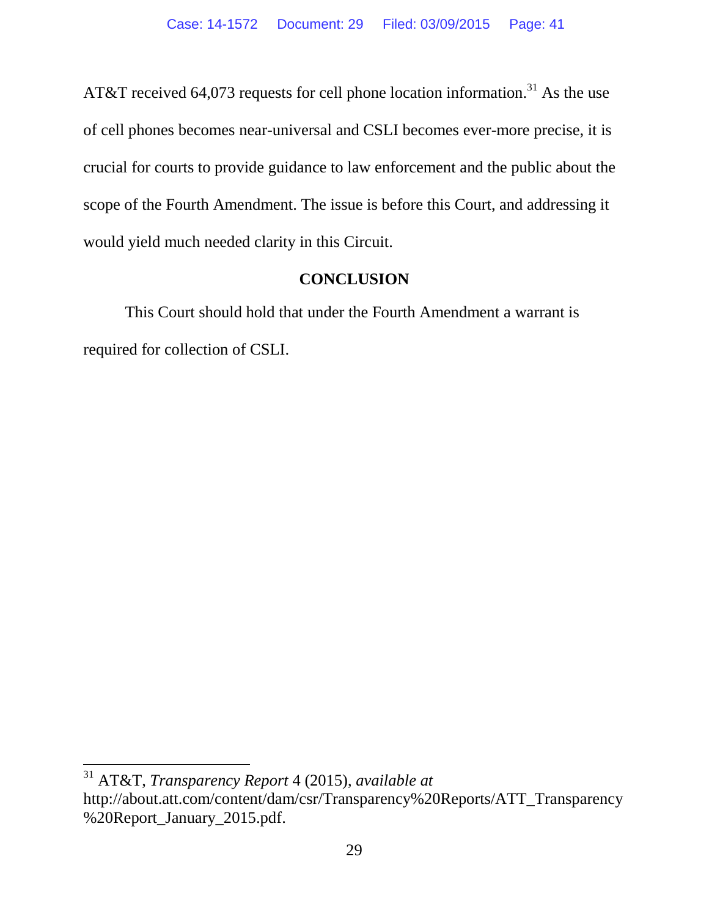AT&T received 64,073 requests for cell phone location information.<sup>31</sup> As the use of cell phones becomes near-universal and CSLI becomes ever-more precise, it is crucial for courts to provide guidance to law enforcement and the public about the scope of the Fourth Amendment. The issue is before this Court, and addressing it would yield much needed clarity in this Circuit.

## **CONCLUSION**

<span id="page-40-0"></span>This Court should hold that under the Fourth Amendment a warrant is required for collection of CSLI.

<sup>31</sup> AT&T, *Transparency Report* 4 (2015), *available at*  http://about.att.com/content/dam/csr/Transparency%20Reports/ATT\_Transparency %20Report\_January\_2015.pdf.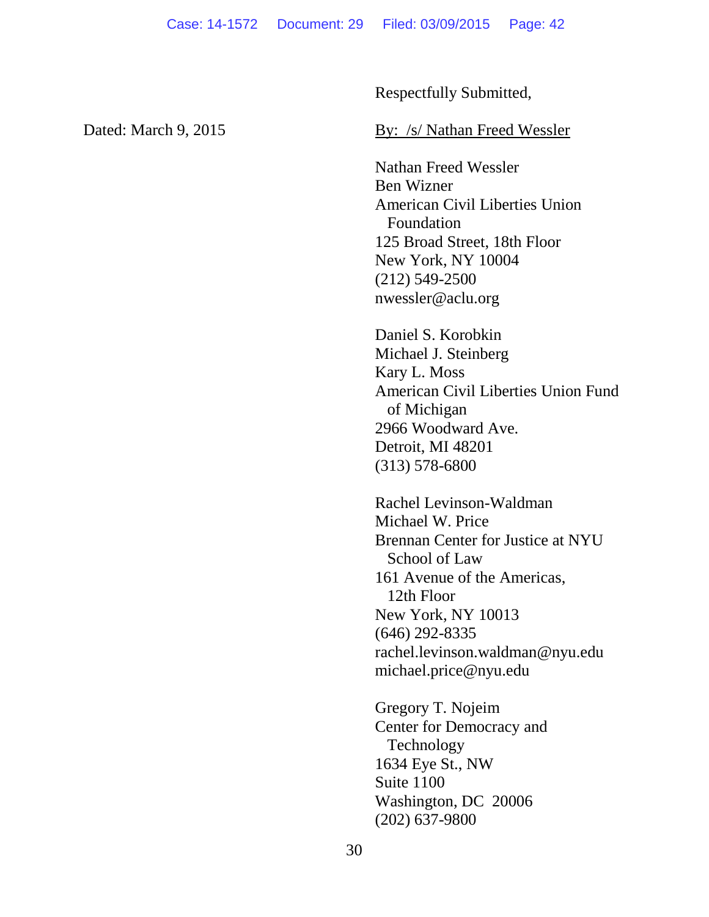Respectfully Submitted,

#### Dated: March 9, 2015 By: /s/ Nathan Freed Wessler

Nathan Freed Wessler Ben Wizner American Civil Liberties Union Foundation 125 Broad Street, 18th Floor New York, NY 10004 (212) 549-2500 nwessler@aclu.org

Daniel S. Korobkin Michael J. Steinberg Kary L. Moss American Civil Liberties Union Fund of Michigan 2966 Woodward Ave. Detroit, MI 48201 (313) 578-6800

Rachel Levinson-Waldman Michael W. Price Brennan Center for Justice at NYU School of Law 161 Avenue of the Americas, 12th Floor New York, NY 10013 (646) 292-8335 rachel.levinson.waldman@nyu.edu michael.price@nyu.edu

Gregory T. Nojeim Center for Democracy and Technology 1634 Eye St., NW Suite 1100 Washington, DC 20006 (202) 637-9800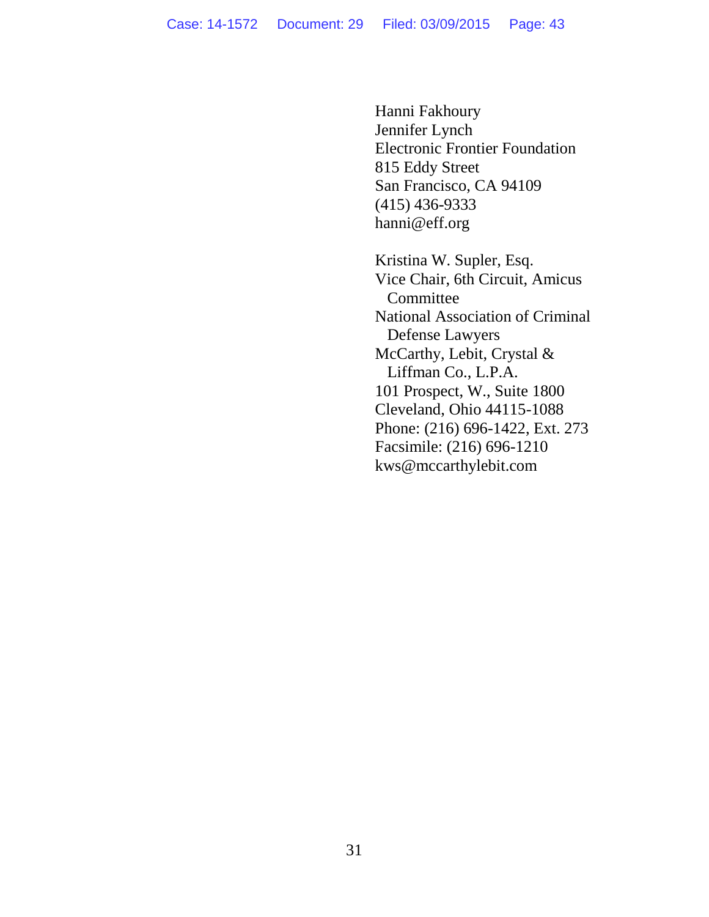Hanni Fakhoury Jennifer Lynch Electronic Frontier Foundation 815 Eddy Street San Francisco, CA 94109 (415) 436-9333 hanni@eff.org

Kristina W. Supler, Esq. Vice Chair, 6th Circuit, Amicus **Committee** National Association of Criminal Defense Lawyers McCarthy, Lebit, Crystal & Liffman Co., L.P.A. 101 Prospect, W., Suite 1800 Cleveland, Ohio 44115-1088 Phone: (216) 696-1422, Ext. 273 Facsimile: (216) 696-1210 kws@mccarthylebit.com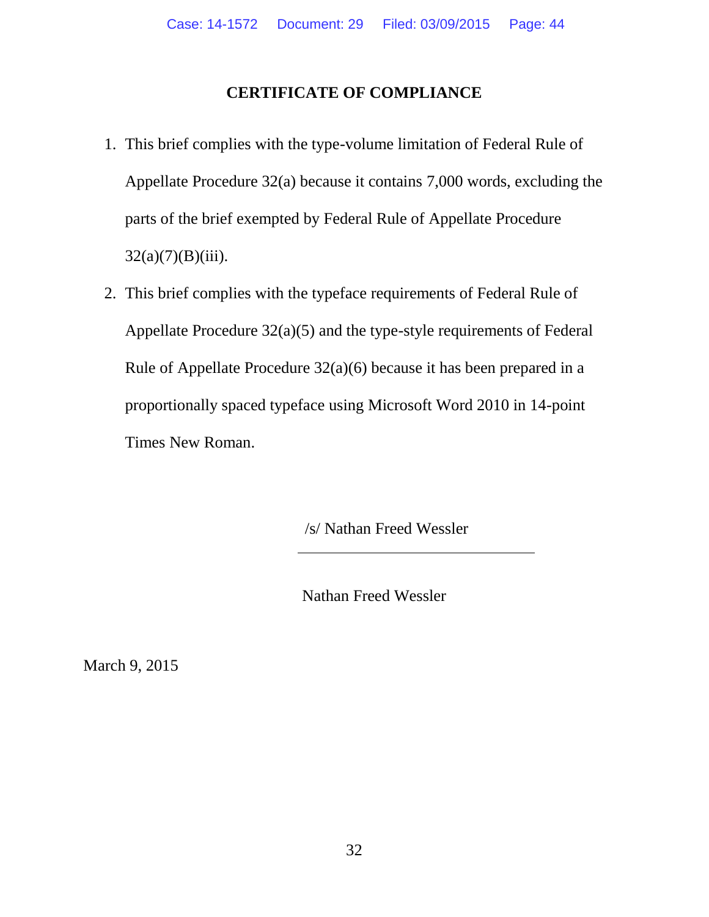## **CERTIFICATE OF COMPLIANCE**

- <span id="page-43-0"></span>1. This brief complies with the type-volume limitation of Federal Rule of Appellate Procedure 32(a) because it contains 7,000 words, excluding the parts of the brief exempted by Federal Rule of Appellate Procedure  $32(a)(7)(B)(iii)$ .
- 2. This brief complies with the typeface requirements of Federal Rule of Appellate Procedure 32(a)(5) and the type-style requirements of Federal Rule of Appellate Procedure 32(a)(6) because it has been prepared in a proportionally spaced typeface using Microsoft Word 2010 in 14-point Times New Roman.

/s/ Nathan Freed Wessler

Nathan Freed Wessler

March 9, 2015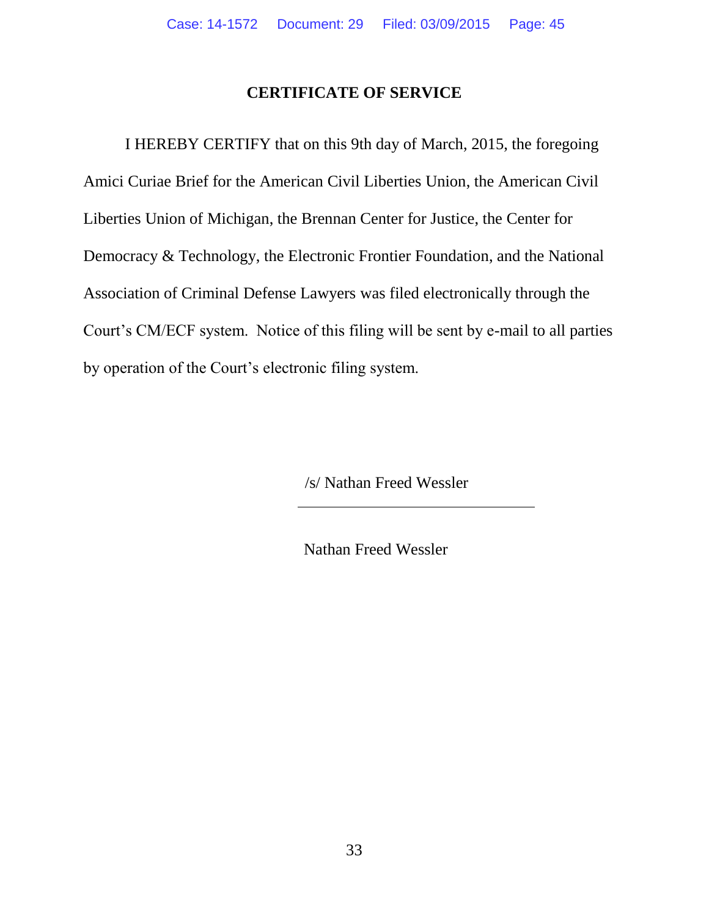### **CERTIFICATE OF SERVICE**

<span id="page-44-0"></span>I HEREBY CERTIFY that on this 9th day of March, 2015, the foregoing Amici Curiae Brief for the American Civil Liberties Union, the American Civil Liberties Union of Michigan, the Brennan Center for Justice, the Center for Democracy & Technology, the Electronic Frontier Foundation, and the National Association of Criminal Defense Lawyers was filed electronically through the Court's CM/ECF system. Notice of this filing will be sent by e-mail to all parties by operation of the Court's electronic filing system.

/s/ Nathan Freed Wessler

Nathan Freed Wessler